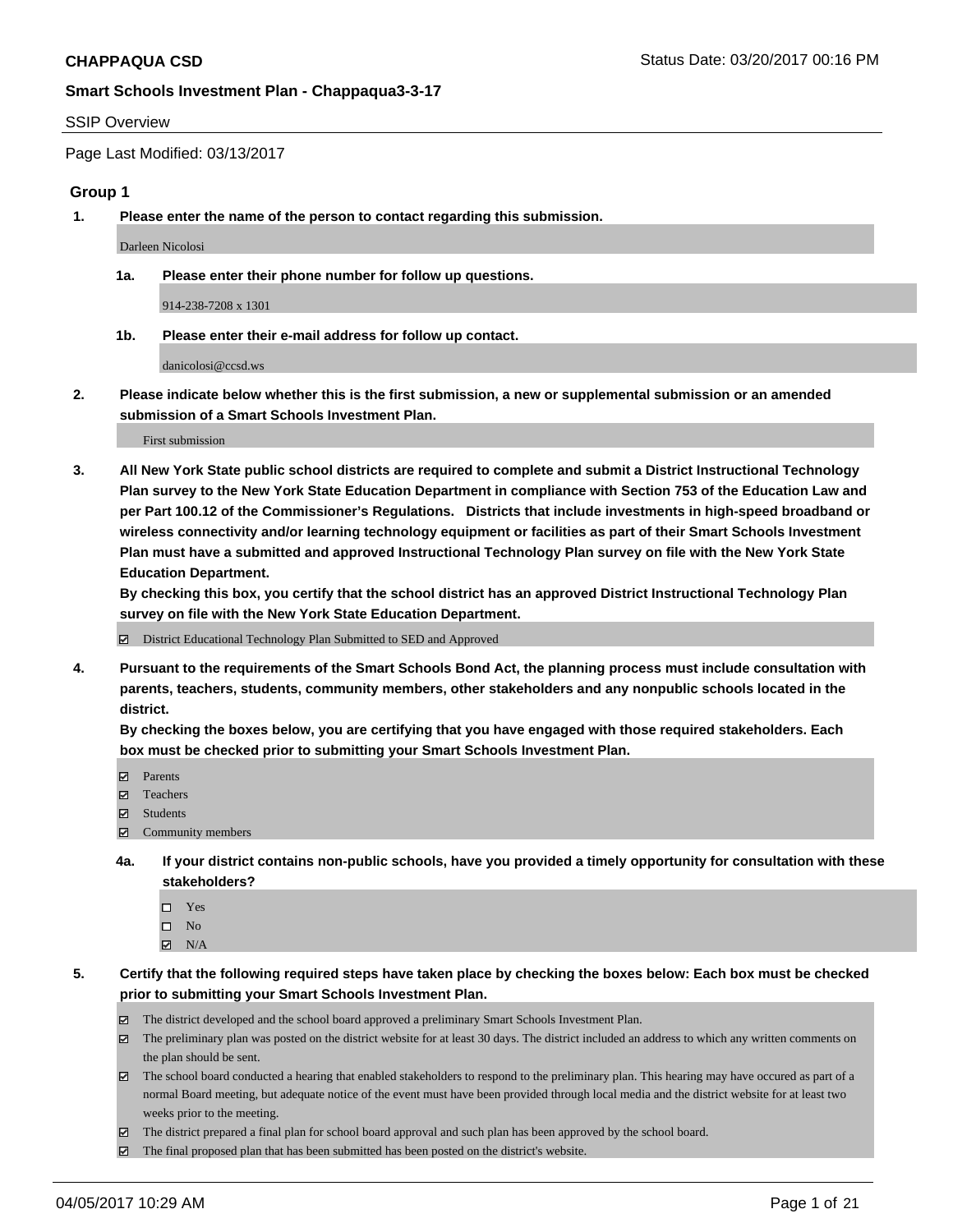#### SSIP Overview

Page Last Modified: 03/13/2017

#### **Group 1**

**1. Please enter the name of the person to contact regarding this submission.**

Darleen Nicolosi

**1a. Please enter their phone number for follow up questions.**

914-238-7208 x 1301

**1b. Please enter their e-mail address for follow up contact.**

danicolosi@ccsd.ws

**2. Please indicate below whether this is the first submission, a new or supplemental submission or an amended submission of a Smart Schools Investment Plan.**

First submission

**3. All New York State public school districts are required to complete and submit a District Instructional Technology Plan survey to the New York State Education Department in compliance with Section 753 of the Education Law and per Part 100.12 of the Commissioner's Regulations. Districts that include investments in high-speed broadband or wireless connectivity and/or learning technology equipment or facilities as part of their Smart Schools Investment Plan must have a submitted and approved Instructional Technology Plan survey on file with the New York State Education Department.** 

**By checking this box, you certify that the school district has an approved District Instructional Technology Plan survey on file with the New York State Education Department.**

District Educational Technology Plan Submitted to SED and Approved

**4. Pursuant to the requirements of the Smart Schools Bond Act, the planning process must include consultation with parents, teachers, students, community members, other stakeholders and any nonpublic schools located in the district.** 

**By checking the boxes below, you are certifying that you have engaged with those required stakeholders. Each box must be checked prior to submitting your Smart Schools Investment Plan.**

- **マ** Parents
- □ Teachers
- Students
- $\Xi$  Community members
- **4a. If your district contains non-public schools, have you provided a timely opportunity for consultation with these stakeholders?**
	- Yes
	- $\hfill \square$  No
	- $\boxtimes$  N/A
- **5. Certify that the following required steps have taken place by checking the boxes below: Each box must be checked prior to submitting your Smart Schools Investment Plan.**
	- The district developed and the school board approved a preliminary Smart Schools Investment Plan.
	- $\boxtimes$  The preliminary plan was posted on the district website for at least 30 days. The district included an address to which any written comments on the plan should be sent.
	- $\boxtimes$  The school board conducted a hearing that enabled stakeholders to respond to the preliminary plan. This hearing may have occured as part of a normal Board meeting, but adequate notice of the event must have been provided through local media and the district website for at least two weeks prior to the meeting.
	- The district prepared a final plan for school board approval and such plan has been approved by the school board.
	- $\boxtimes$  The final proposed plan that has been submitted has been posted on the district's website.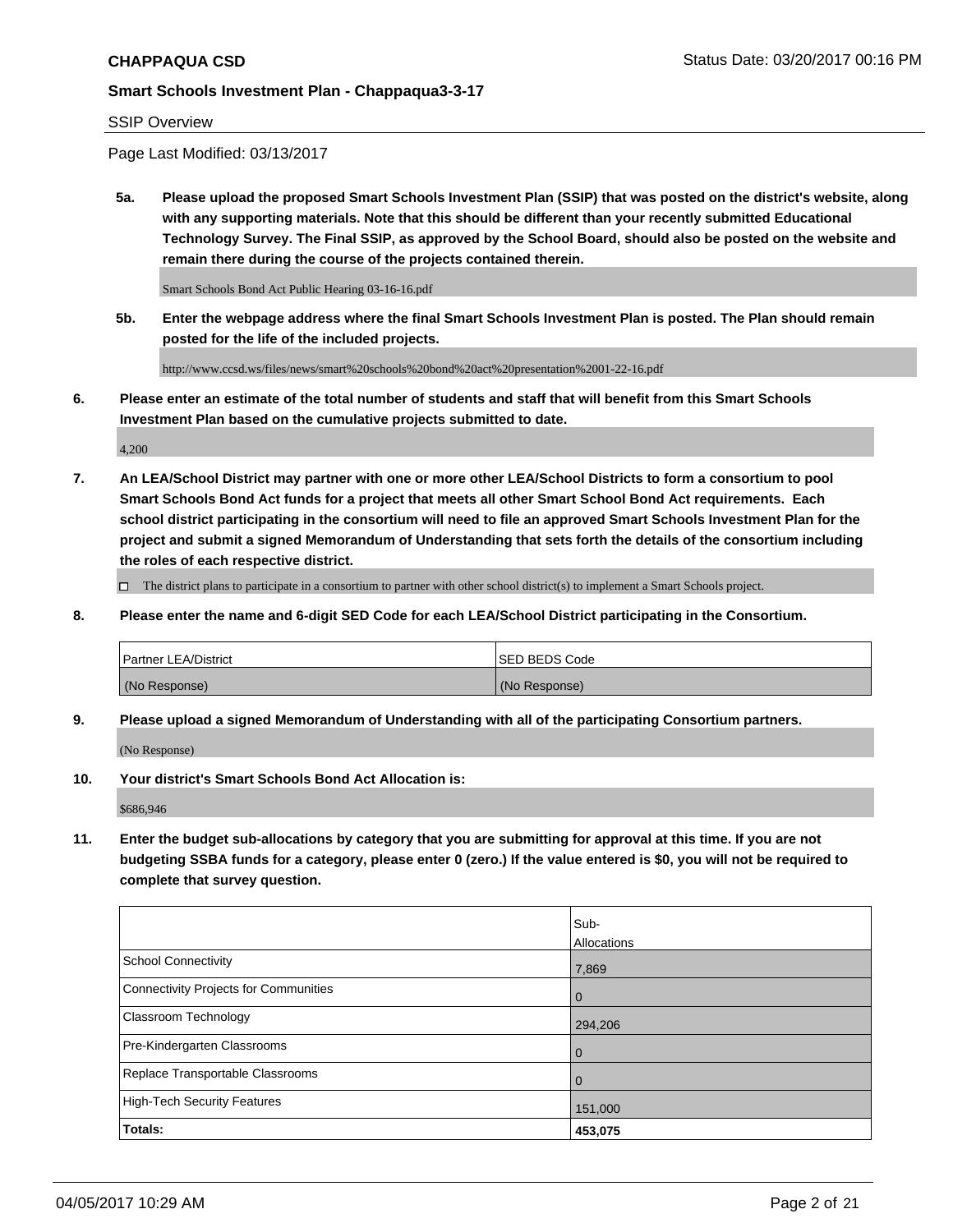### SSIP Overview

Page Last Modified: 03/13/2017

**5a. Please upload the proposed Smart Schools Investment Plan (SSIP) that was posted on the district's website, along with any supporting materials. Note that this should be different than your recently submitted Educational Technology Survey. The Final SSIP, as approved by the School Board, should also be posted on the website and remain there during the course of the projects contained therein.**

Smart Schools Bond Act Public Hearing 03-16-16.pdf

**5b. Enter the webpage address where the final Smart Schools Investment Plan is posted. The Plan should remain posted for the life of the included projects.**

http://www.ccsd.ws/files/news/smart%20schools%20bond%20act%20presentation%2001-22-16.pdf

**6. Please enter an estimate of the total number of students and staff that will benefit from this Smart Schools Investment Plan based on the cumulative projects submitted to date.**

4,200

**7. An LEA/School District may partner with one or more other LEA/School Districts to form a consortium to pool Smart Schools Bond Act funds for a project that meets all other Smart School Bond Act requirements. Each school district participating in the consortium will need to file an approved Smart Schools Investment Plan for the project and submit a signed Memorandum of Understanding that sets forth the details of the consortium including the roles of each respective district.**

 $\Box$  The district plans to participate in a consortium to partner with other school district(s) to implement a Smart Schools project.

**8. Please enter the name and 6-digit SED Code for each LEA/School District participating in the Consortium.**

| <b>Partner LEA/District</b> | <b>ISED BEDS Code</b> |
|-----------------------------|-----------------------|
| (No Response)               | (No Response)         |

**9. Please upload a signed Memorandum of Understanding with all of the participating Consortium partners.**

(No Response)

**10. Your district's Smart Schools Bond Act Allocation is:**

\$686,946

**11. Enter the budget sub-allocations by category that you are submitting for approval at this time. If you are not budgeting SSBA funds for a category, please enter 0 (zero.) If the value entered is \$0, you will not be required to complete that survey question.**

|                                              | Sub-        |
|----------------------------------------------|-------------|
|                                              | Allocations |
| <b>School Connectivity</b>                   | 7,869       |
| <b>Connectivity Projects for Communities</b> | 0           |
| <b>Classroom Technology</b>                  | 294,206     |
| Pre-Kindergarten Classrooms                  | 0           |
| Replace Transportable Classrooms             | 0           |
| <b>High-Tech Security Features</b>           | 151,000     |
| Totals:                                      | 453,075     |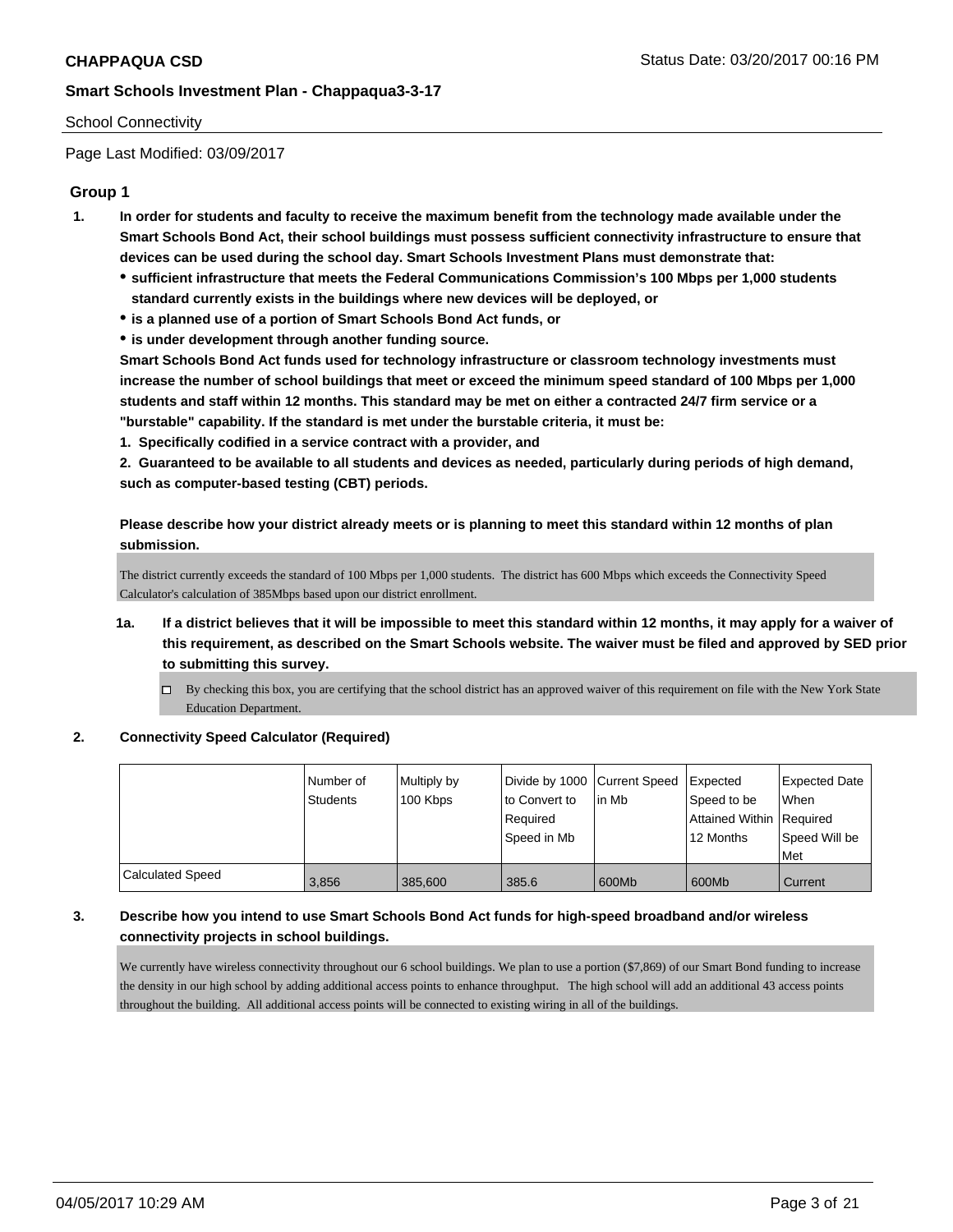## School Connectivity

Page Last Modified: 03/09/2017

# **Group 1**

- **1. In order for students and faculty to receive the maximum benefit from the technology made available under the Smart Schools Bond Act, their school buildings must possess sufficient connectivity infrastructure to ensure that devices can be used during the school day. Smart Schools Investment Plans must demonstrate that:**
	- **sufficient infrastructure that meets the Federal Communications Commission's 100 Mbps per 1,000 students standard currently exists in the buildings where new devices will be deployed, or**
	- **is a planned use of a portion of Smart Schools Bond Act funds, or**
	- **is under development through another funding source.**

**Smart Schools Bond Act funds used for technology infrastructure or classroom technology investments must increase the number of school buildings that meet or exceed the minimum speed standard of 100 Mbps per 1,000 students and staff within 12 months. This standard may be met on either a contracted 24/7 firm service or a "burstable" capability. If the standard is met under the burstable criteria, it must be:**

**1. Specifically codified in a service contract with a provider, and**

**2. Guaranteed to be available to all students and devices as needed, particularly during periods of high demand, such as computer-based testing (CBT) periods.**

**Please describe how your district already meets or is planning to meet this standard within 12 months of plan submission.**

The district currently exceeds the standard of 100 Mbps per 1,000 students. The district has 600 Mbps which exceeds the Connectivity Speed Calculator's calculation of 385Mbps based upon our district enrollment.

- **1a. If a district believes that it will be impossible to meet this standard within 12 months, it may apply for a waiver of this requirement, as described on the Smart Schools website. The waiver must be filed and approved by SED prior to submitting this survey.**
	- $\Box$  By checking this box, you are certifying that the school district has an approved waiver of this requirement on file with the New York State Education Department.
- **2. Connectivity Speed Calculator (Required)**

|                         | Number of<br>Students | Multiply by<br>100 Kbps | Divide by 1000 Current Speed<br>to Convert to<br>Reauired<br>Speed in Mb | lin Mb | Expected<br>Speed to be<br>Attained Within   Required<br>12 Months | Expected Date<br><b>When</b><br>Speed Will be<br>Met |
|-------------------------|-----------------------|-------------------------|--------------------------------------------------------------------------|--------|--------------------------------------------------------------------|------------------------------------------------------|
| <b>Calculated Speed</b> | 3,856                 | 385,600                 | 385.6                                                                    | 600Mb  | 600Mb                                                              | Current                                              |

# **3. Describe how you intend to use Smart Schools Bond Act funds for high-speed broadband and/or wireless connectivity projects in school buildings.**

We currently have wireless connectivity throughout our 6 school buildings. We plan to use a portion (\$7,869) of our Smart Bond funding to increase the density in our high school by adding additional access points to enhance throughput. The high school will add an additional 43 access points throughout the building. All additional access points will be connected to existing wiring in all of the buildings.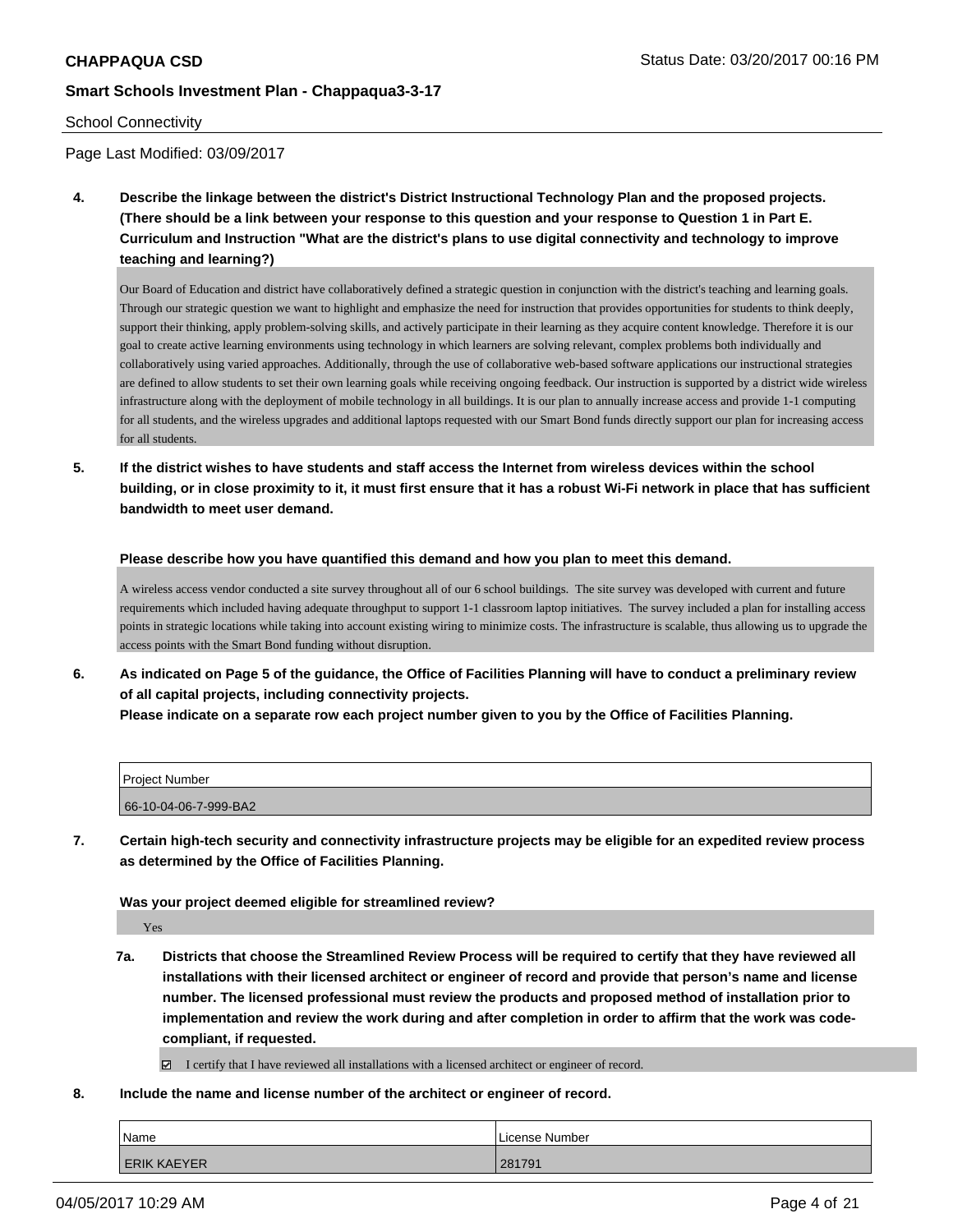#### School Connectivity

Page Last Modified: 03/09/2017

**4. Describe the linkage between the district's District Instructional Technology Plan and the proposed projects. (There should be a link between your response to this question and your response to Question 1 in Part E. Curriculum and Instruction "What are the district's plans to use digital connectivity and technology to improve teaching and learning?)**

Our Board of Education and district have collaboratively defined a strategic question in conjunction with the district's teaching and learning goals. Through our strategic question we want to highlight and emphasize the need for instruction that provides opportunities for students to think deeply, support their thinking, apply problem-solving skills, and actively participate in their learning as they acquire content knowledge. Therefore it is our goal to create active learning environments using technology in which learners are solving relevant, complex problems both individually and collaboratively using varied approaches. Additionally, through the use of collaborative web-based software applications our instructional strategies are defined to allow students to set their own learning goals while receiving ongoing feedback. Our instruction is supported by a district wide wireless infrastructure along with the deployment of mobile technology in all buildings. It is our plan to annually increase access and provide 1-1 computing for all students, and the wireless upgrades and additional laptops requested with our Smart Bond funds directly support our plan for increasing access for all students.

**5. If the district wishes to have students and staff access the Internet from wireless devices within the school building, or in close proximity to it, it must first ensure that it has a robust Wi-Fi network in place that has sufficient bandwidth to meet user demand.**

#### **Please describe how you have quantified this demand and how you plan to meet this demand.**

A wireless access vendor conducted a site survey throughout all of our 6 school buildings. The site survey was developed with current and future requirements which included having adequate throughput to support 1-1 classroom laptop initiatives. The survey included a plan for installing access points in strategic locations while taking into account existing wiring to minimize costs. The infrastructure is scalable, thus allowing us to upgrade the access points with the Smart Bond funding without disruption.

**6. As indicated on Page 5 of the guidance, the Office of Facilities Planning will have to conduct a preliminary review of all capital projects, including connectivity projects. Please indicate on a separate row each project number given to you by the Office of Facilities Planning.**

| <b>Project Number</b> |  |
|-----------------------|--|
|                       |  |
| 66-10-04-06-7-999-BA2 |  |

**7. Certain high-tech security and connectivity infrastructure projects may be eligible for an expedited review process as determined by the Office of Facilities Planning.**

#### **Was your project deemed eligible for streamlined review?**

Yes

**7a. Districts that choose the Streamlined Review Process will be required to certify that they have reviewed all installations with their licensed architect or engineer of record and provide that person's name and license number. The licensed professional must review the products and proposed method of installation prior to implementation and review the work during and after completion in order to affirm that the work was codecompliant, if requested.**

I certify that I have reviewed all installations with a licensed architect or engineer of record.

**8. Include the name and license number of the architect or engineer of record.**

| Name               | License Number |
|--------------------|----------------|
| <b>ERIK KAEYER</b> | 281791         |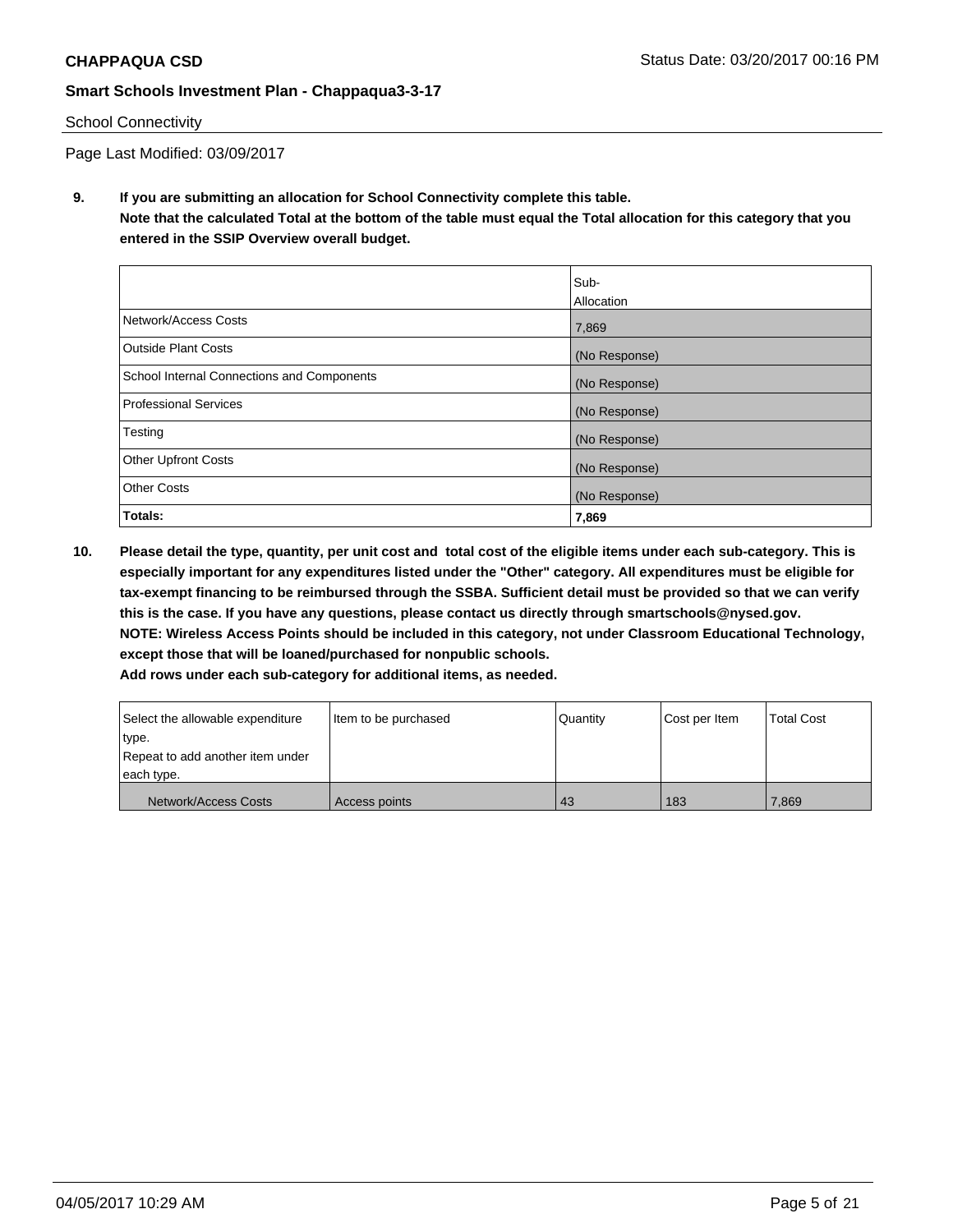# School Connectivity

Page Last Modified: 03/09/2017

**9. If you are submitting an allocation for School Connectivity complete this table. Note that the calculated Total at the bottom of the table must equal the Total allocation for this category that you entered in the SSIP Overview overall budget.** 

|                                            | Sub-          |
|--------------------------------------------|---------------|
|                                            | Allocation    |
| Network/Access Costs                       | 7,869         |
| <b>Outside Plant Costs</b>                 | (No Response) |
| School Internal Connections and Components | (No Response) |
| <b>Professional Services</b>               | (No Response) |
| Testing                                    | (No Response) |
| <b>Other Upfront Costs</b>                 | (No Response) |
| <b>Other Costs</b>                         | (No Response) |
| Totals:                                    | 7,869         |

**10. Please detail the type, quantity, per unit cost and total cost of the eligible items under each sub-category. This is especially important for any expenditures listed under the "Other" category. All expenditures must be eligible for tax-exempt financing to be reimbursed through the SSBA. Sufficient detail must be provided so that we can verify this is the case. If you have any questions, please contact us directly through smartschools@nysed.gov. NOTE: Wireless Access Points should be included in this category, not under Classroom Educational Technology, except those that will be loaned/purchased for nonpublic schools.**

| Select the allowable expenditure | Item to be purchased | Quantity | Cost per Item | <b>Total Cost</b> |
|----------------------------------|----------------------|----------|---------------|-------------------|
| type.                            |                      |          |               |                   |
| Repeat to add another item under |                      |          |               |                   |
| each type.                       |                      |          |               |                   |
| Network/Access Costs             | Access points        | 43       | 183           | 7,869             |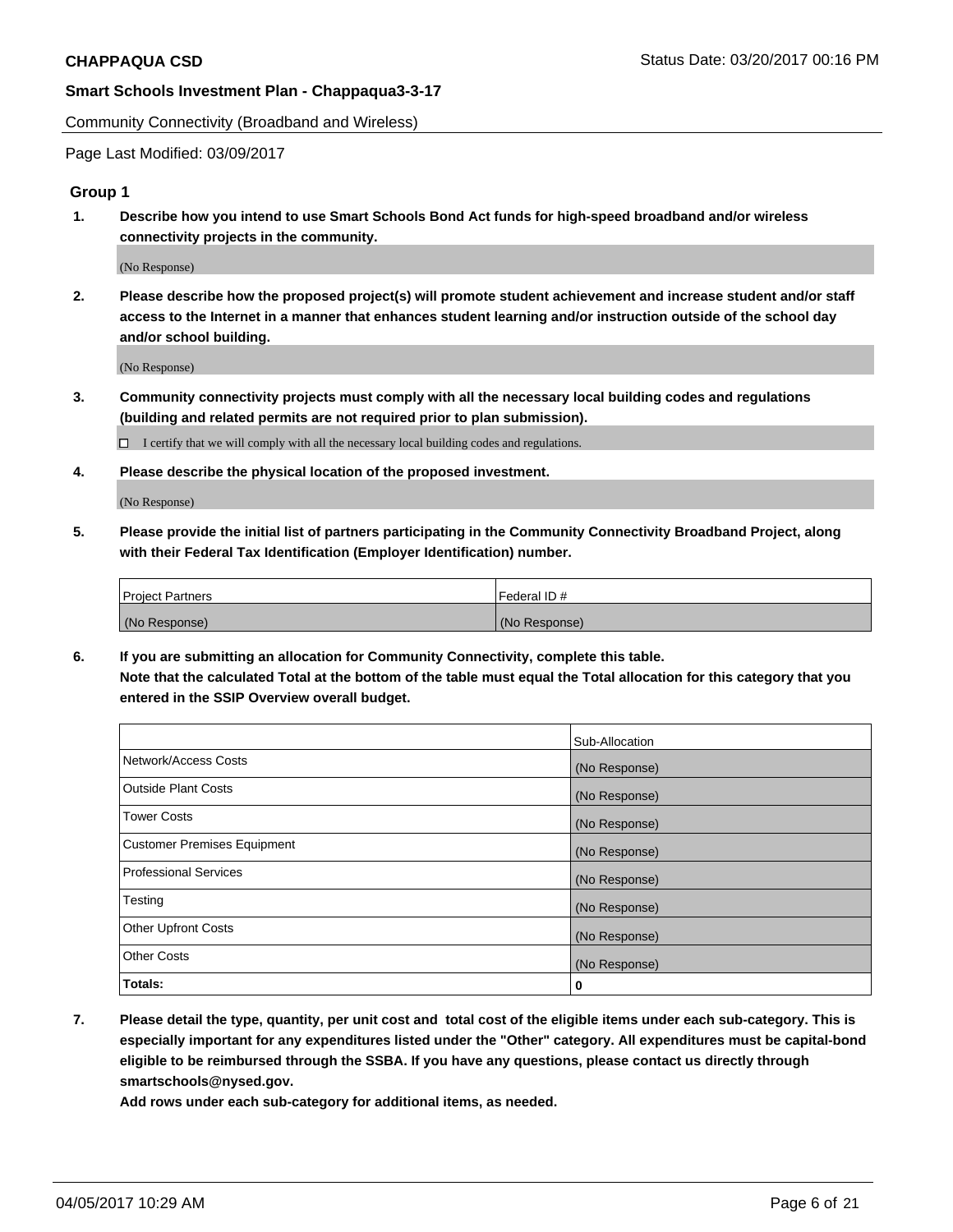Community Connectivity (Broadband and Wireless)

Page Last Modified: 03/09/2017

### **Group 1**

**1. Describe how you intend to use Smart Schools Bond Act funds for high-speed broadband and/or wireless connectivity projects in the community.**

(No Response)

**2. Please describe how the proposed project(s) will promote student achievement and increase student and/or staff access to the Internet in a manner that enhances student learning and/or instruction outside of the school day and/or school building.**

(No Response)

**3. Community connectivity projects must comply with all the necessary local building codes and regulations (building and related permits are not required prior to plan submission).**

 $\Box$  I certify that we will comply with all the necessary local building codes and regulations.

**4. Please describe the physical location of the proposed investment.**

(No Response)

**5. Please provide the initial list of partners participating in the Community Connectivity Broadband Project, along with their Federal Tax Identification (Employer Identification) number.**

| <b>Project Partners</b> | Federal ID#     |
|-------------------------|-----------------|
| (No Response)           | l (No Response) |

**6. If you are submitting an allocation for Community Connectivity, complete this table. Note that the calculated Total at the bottom of the table must equal the Total allocation for this category that you entered in the SSIP Overview overall budget.**

|                                    | Sub-Allocation |
|------------------------------------|----------------|
| Network/Access Costs               | (No Response)  |
| Outside Plant Costs                | (No Response)  |
| <b>Tower Costs</b>                 | (No Response)  |
| <b>Customer Premises Equipment</b> | (No Response)  |
| <b>Professional Services</b>       | (No Response)  |
| Testing                            | (No Response)  |
| <b>Other Upfront Costs</b>         | (No Response)  |
| <b>Other Costs</b>                 | (No Response)  |
| Totals:                            | 0              |

**7. Please detail the type, quantity, per unit cost and total cost of the eligible items under each sub-category. This is especially important for any expenditures listed under the "Other" category. All expenditures must be capital-bond eligible to be reimbursed through the SSBA. If you have any questions, please contact us directly through smartschools@nysed.gov.**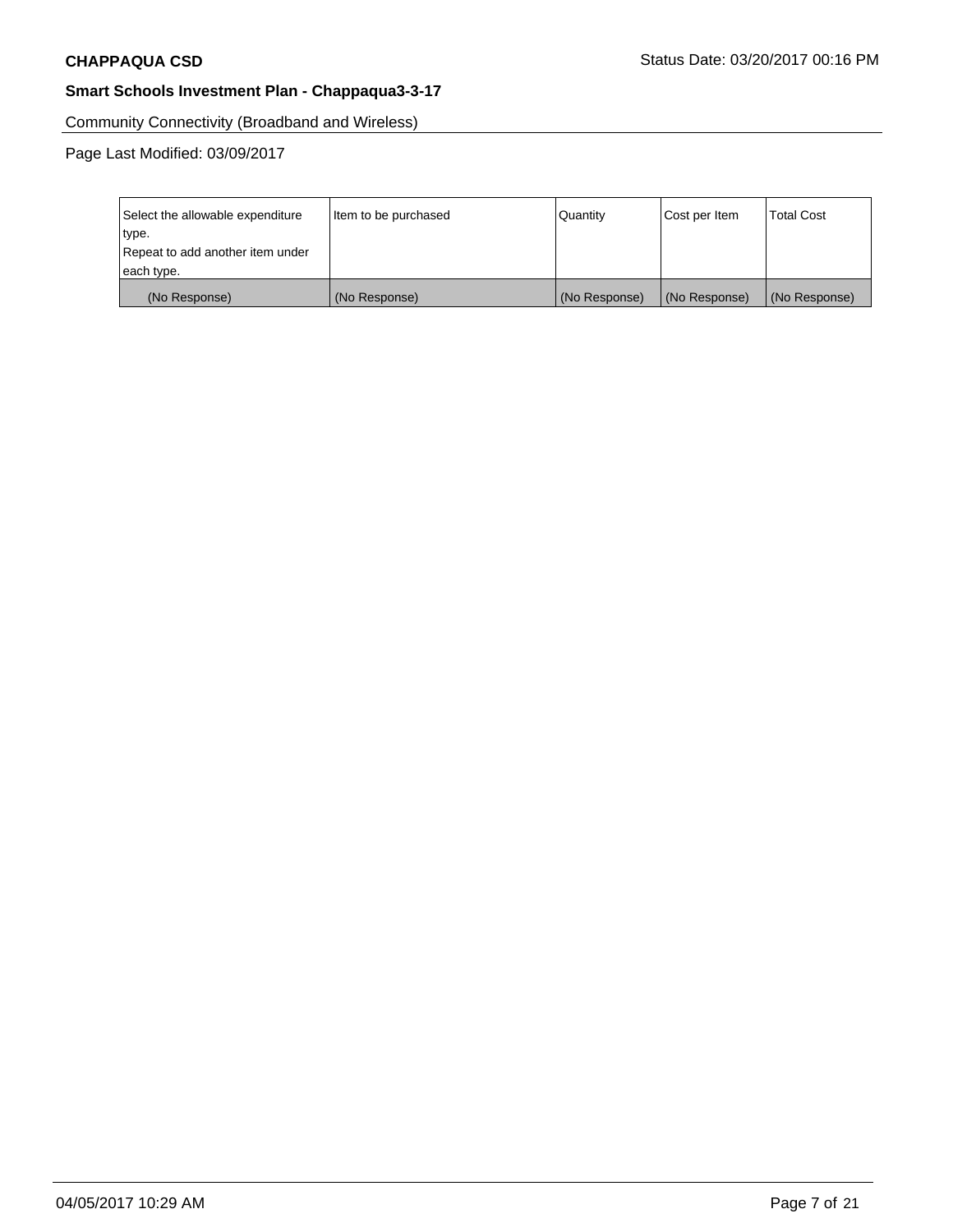Community Connectivity (Broadband and Wireless)

| Select the allowable expenditure | Item to be purchased | Quantity      | Cost per Item | <b>Total Cost</b> |
|----------------------------------|----------------------|---------------|---------------|-------------------|
| type.                            |                      |               |               |                   |
| Repeat to add another item under |                      |               |               |                   |
| each type.                       |                      |               |               |                   |
| (No Response)                    | (No Response)        | (No Response) | (No Response) | (No Response)     |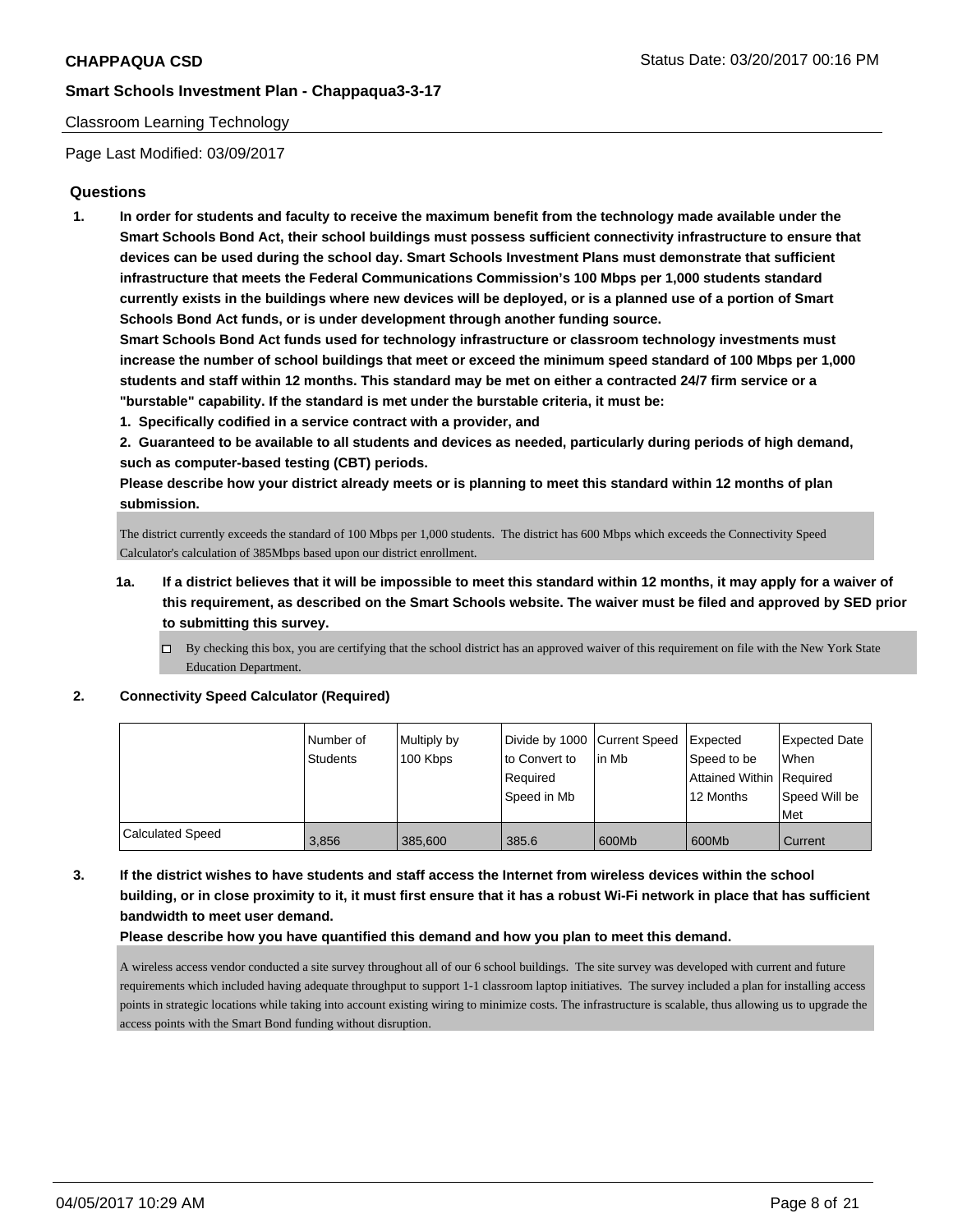### Classroom Learning Technology

Page Last Modified: 03/09/2017

# **Questions**

**1. In order for students and faculty to receive the maximum benefit from the technology made available under the Smart Schools Bond Act, their school buildings must possess sufficient connectivity infrastructure to ensure that devices can be used during the school day. Smart Schools Investment Plans must demonstrate that sufficient infrastructure that meets the Federal Communications Commission's 100 Mbps per 1,000 students standard currently exists in the buildings where new devices will be deployed, or is a planned use of a portion of Smart Schools Bond Act funds, or is under development through another funding source.**

**Smart Schools Bond Act funds used for technology infrastructure or classroom technology investments must increase the number of school buildings that meet or exceed the minimum speed standard of 100 Mbps per 1,000 students and staff within 12 months. This standard may be met on either a contracted 24/7 firm service or a "burstable" capability. If the standard is met under the burstable criteria, it must be:**

**1. Specifically codified in a service contract with a provider, and**

**2. Guaranteed to be available to all students and devices as needed, particularly during periods of high demand, such as computer-based testing (CBT) periods.**

**Please describe how your district already meets or is planning to meet this standard within 12 months of plan submission.**

The district currently exceeds the standard of 100 Mbps per 1,000 students. The district has 600 Mbps which exceeds the Connectivity Speed Calculator's calculation of 385Mbps based upon our district enrollment.

- **1a. If a district believes that it will be impossible to meet this standard within 12 months, it may apply for a waiver of this requirement, as described on the Smart Schools website. The waiver must be filed and approved by SED prior to submitting this survey.**
	- $\Box$  By checking this box, you are certifying that the school district has an approved waiver of this requirement on file with the New York State Education Department.

#### **2. Connectivity Speed Calculator (Required)**

|                  | l Number of<br>Students | Multiply by<br>100 Kbps | to Convert to | Divide by 1000 Current Speed Expected<br>l in Mb | Speed to be              | Expected Date<br>When |
|------------------|-------------------------|-------------------------|---------------|--------------------------------------------------|--------------------------|-----------------------|
|                  |                         |                         | Reauired      |                                                  | Attained Within Required |                       |
|                  |                         |                         | Speed in Mb   |                                                  | 12 Months                | Speed Will be<br>Met  |
| Calculated Speed | 3.856                   | 385,600                 | 385.6         | 600Mb                                            | 600Mb                    | Current               |

**3. If the district wishes to have students and staff access the Internet from wireless devices within the school building, or in close proximity to it, it must first ensure that it has a robust Wi-Fi network in place that has sufficient bandwidth to meet user demand.**

#### **Please describe how you have quantified this demand and how you plan to meet this demand.**

A wireless access vendor conducted a site survey throughout all of our 6 school buildings. The site survey was developed with current and future requirements which included having adequate throughput to support 1-1 classroom laptop initiatives. The survey included a plan for installing access points in strategic locations while taking into account existing wiring to minimize costs. The infrastructure is scalable, thus allowing us to upgrade the access points with the Smart Bond funding without disruption.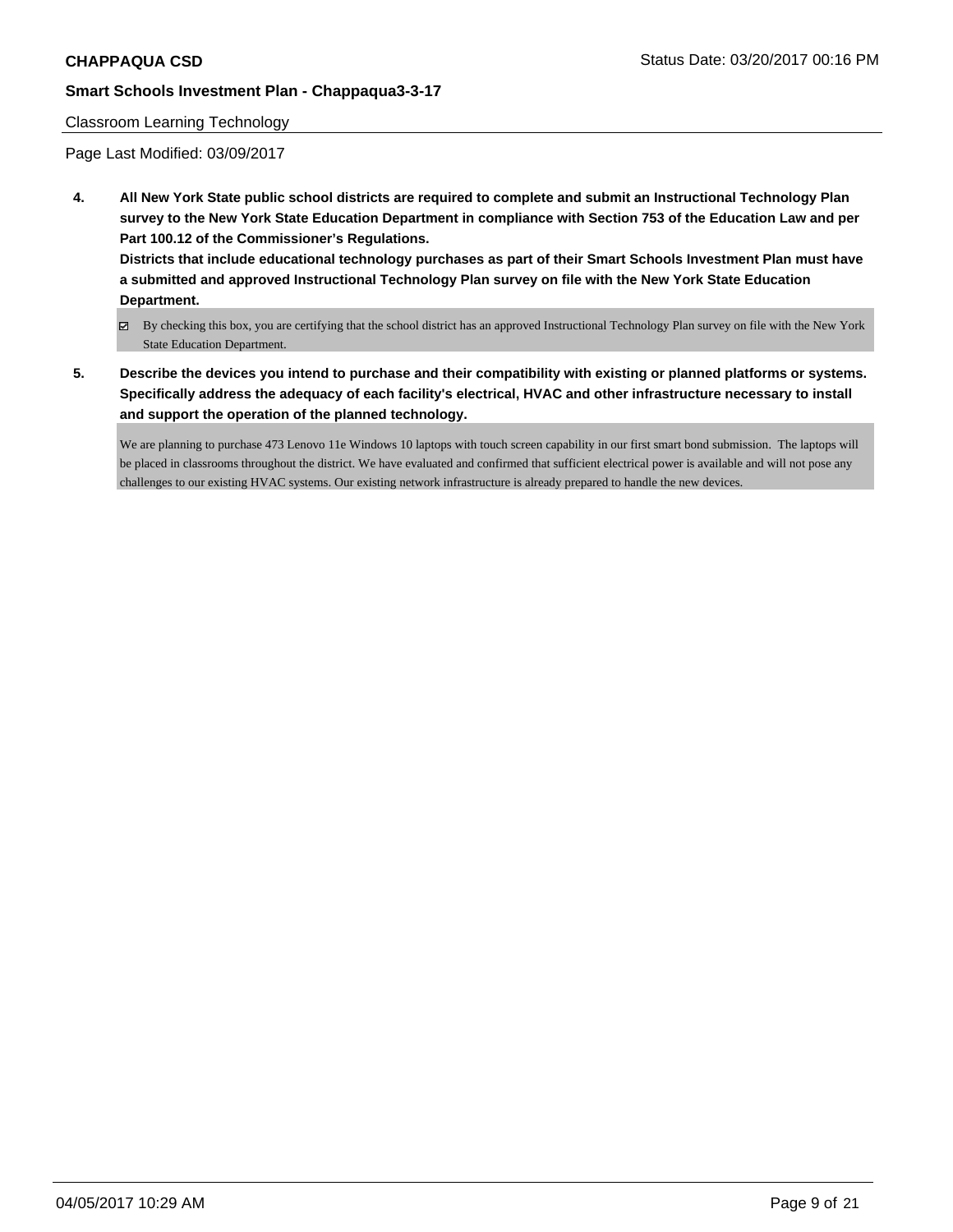#### Classroom Learning Technology

Page Last Modified: 03/09/2017

**4. All New York State public school districts are required to complete and submit an Instructional Technology Plan survey to the New York State Education Department in compliance with Section 753 of the Education Law and per Part 100.12 of the Commissioner's Regulations.**

**Districts that include educational technology purchases as part of their Smart Schools Investment Plan must have a submitted and approved Instructional Technology Plan survey on file with the New York State Education Department.**

- By checking this box, you are certifying that the school district has an approved Instructional Technology Plan survey on file with the New York State Education Department.
- **5. Describe the devices you intend to purchase and their compatibility with existing or planned platforms or systems. Specifically address the adequacy of each facility's electrical, HVAC and other infrastructure necessary to install and support the operation of the planned technology.**

We are planning to purchase 473 Lenovo 11e Windows 10 laptops with touch screen capability in our first smart bond submission. The laptops will be placed in classrooms throughout the district. We have evaluated and confirmed that sufficient electrical power is available and will not pose any challenges to our existing HVAC systems. Our existing network infrastructure is already prepared to handle the new devices.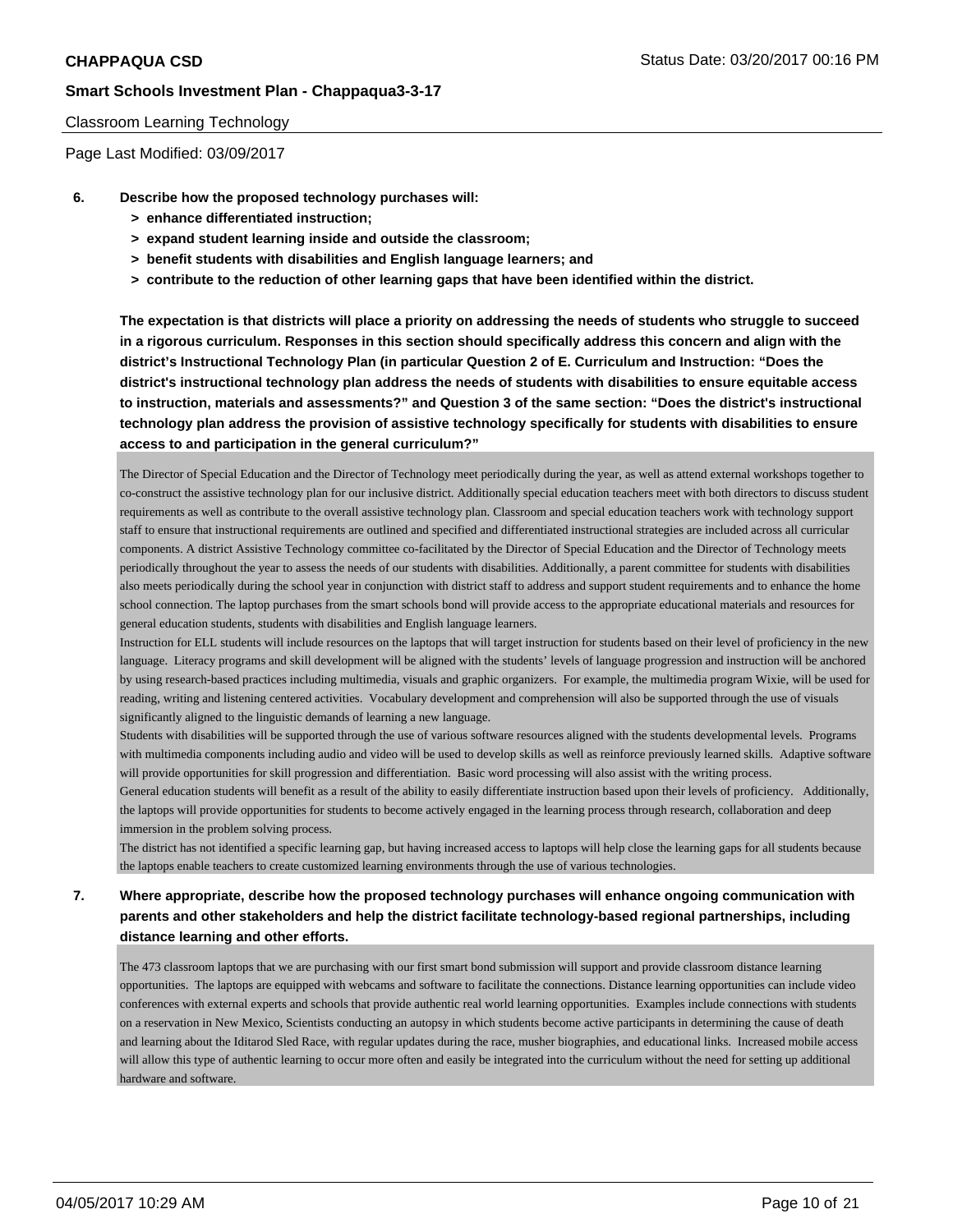#### Classroom Learning Technology

Page Last Modified: 03/09/2017

- **6. Describe how the proposed technology purchases will:**
	- **> enhance differentiated instruction;**
	- **> expand student learning inside and outside the classroom;**
	- **> benefit students with disabilities and English language learners; and**
	- **> contribute to the reduction of other learning gaps that have been identified within the district.**

**The expectation is that districts will place a priority on addressing the needs of students who struggle to succeed in a rigorous curriculum. Responses in this section should specifically address this concern and align with the district's Instructional Technology Plan (in particular Question 2 of E. Curriculum and Instruction: "Does the district's instructional technology plan address the needs of students with disabilities to ensure equitable access to instruction, materials and assessments?" and Question 3 of the same section: "Does the district's instructional technology plan address the provision of assistive technology specifically for students with disabilities to ensure access to and participation in the general curriculum?"**

The Director of Special Education and the Director of Technology meet periodically during the year, as well as attend external workshops together to co-construct the assistive technology plan for our inclusive district. Additionally special education teachers meet with both directors to discuss student requirements as well as contribute to the overall assistive technology plan. Classroom and special education teachers work with technology support staff to ensure that instructional requirements are outlined and specified and differentiated instructional strategies are included across all curricular components. A district Assistive Technology committee co-facilitated by the Director of Special Education and the Director of Technology meets periodically throughout the year to assess the needs of our students with disabilities. Additionally, a parent committee for students with disabilities also meets periodically during the school year in conjunction with district staff to address and support student requirements and to enhance the home school connection. The laptop purchases from the smart schools bond will provide access to the appropriate educational materials and resources for general education students, students with disabilities and English language learners.

Instruction for ELL students will include resources on the laptops that will target instruction for students based on their level of proficiency in the new language. Literacy programs and skill development will be aligned with the students' levels of language progression and instruction will be anchored by using research-based practices including multimedia, visuals and graphic organizers. For example, the multimedia program Wixie, will be used for reading, writing and listening centered activities. Vocabulary development and comprehension will also be supported through the use of visuals significantly aligned to the linguistic demands of learning a new language.

Students with disabilities will be supported through the use of various software resources aligned with the students developmental levels. Programs with multimedia components including audio and video will be used to develop skills as well as reinforce previously learned skills. Adaptive software will provide opportunities for skill progression and differentiation. Basic word processing will also assist with the writing process.

General education students will benefit as a result of the ability to easily differentiate instruction based upon their levels of proficiency. Additionally, the laptops will provide opportunities for students to become actively engaged in the learning process through research, collaboration and deep immersion in the problem solving process.

The district has not identified a specific learning gap, but having increased access to laptops will help close the learning gaps for all students because the laptops enable teachers to create customized learning environments through the use of various technologies.

# **7. Where appropriate, describe how the proposed technology purchases will enhance ongoing communication with parents and other stakeholders and help the district facilitate technology-based regional partnerships, including distance learning and other efforts.**

The 473 classroom laptops that we are purchasing with our first smart bond submission will support and provide classroom distance learning opportunities. The laptops are equipped with webcams and software to facilitate the connections. Distance learning opportunities can include video conferences with external experts and schools that provide authentic real world learning opportunities. Examples include connections with students on a reservation in New Mexico, Scientists conducting an autopsy in which students become active participants in determining the cause of death and learning about the Iditarod Sled Race, with regular updates during the race, musher biographies, and educational links. Increased mobile access will allow this type of authentic learning to occur more often and easily be integrated into the curriculum without the need for setting up additional hardware and software.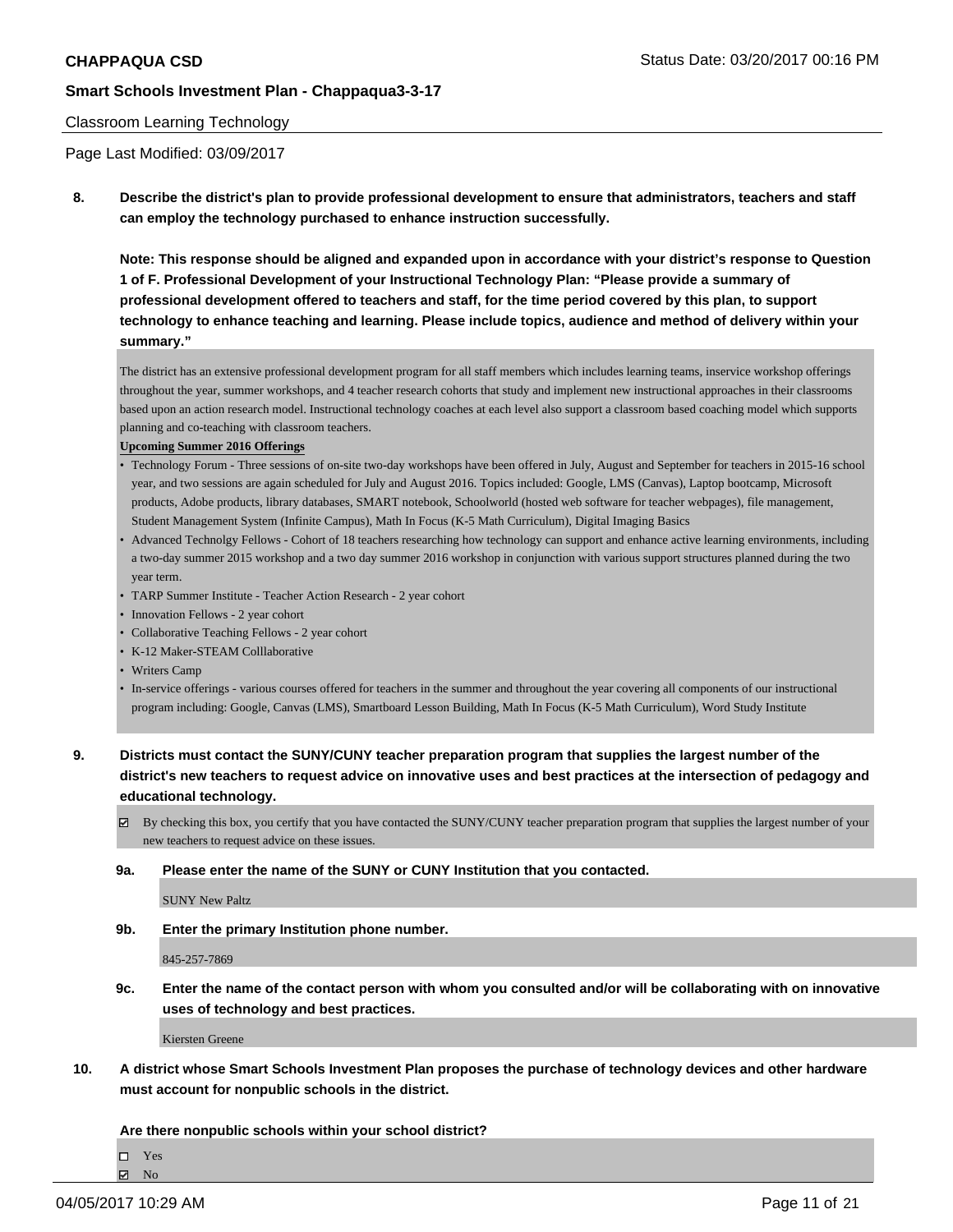#### Classroom Learning Technology

Page Last Modified: 03/09/2017

**8. Describe the district's plan to provide professional development to ensure that administrators, teachers and staff can employ the technology purchased to enhance instruction successfully.**

**Note: This response should be aligned and expanded upon in accordance with your district's response to Question 1 of F. Professional Development of your Instructional Technology Plan: "Please provide a summary of professional development offered to teachers and staff, for the time period covered by this plan, to support technology to enhance teaching and learning. Please include topics, audience and method of delivery within your summary."**

The district has an extensive professional development program for all staff members which includes learning teams, inservice workshop offerings throughout the year, summer workshops, and 4 teacher research cohorts that study and implement new instructional approaches in their classrooms based upon an action research model. Instructional technology coaches at each level also support a classroom based coaching model which supports planning and co-teaching with classroom teachers.

#### **Upcoming Summer 2016 Offerings**

- Technology Forum Three sessions of on-site two-day workshops have been offered in July, August and September for teachers in 2015-16 school year, and two sessions are again scheduled for July and August 2016. Topics included: Google, LMS (Canvas), Laptop bootcamp, Microsoft products, Adobe products, library databases, SMART notebook, Schoolworld (hosted web software for teacher webpages), file management, Student Management System (Infinite Campus), Math In Focus (K-5 Math Curriculum), Digital Imaging Basics
- Advanced Technolgy Fellows Cohort of 18 teachers researching how technology can support and enhance active learning environments, including a two-day summer 2015 workshop and a two day summer 2016 workshop in conjunction with various support structures planned during the two year term.
- TARP Summer Institute Teacher Action Research 2 year cohort
- Innovation Fellows 2 year cohort
- Collaborative Teaching Fellows 2 year cohort
- K-12 Maker-STEAM Colllaborative
- Writers Camp
- In-service offerings various courses offered for teachers in the summer and throughout the year covering all components of our instructional program including: Google, Canvas (LMS), Smartboard Lesson Building, Math In Focus (K-5 Math Curriculum), Word Study Institute

**9. Districts must contact the SUNY/CUNY teacher preparation program that supplies the largest number of the district's new teachers to request advice on innovative uses and best practices at the intersection of pedagogy and educational technology.**

- $\boxtimes$  By checking this box, you certify that you have contacted the SUNY/CUNY teacher preparation program that supplies the largest number of your new teachers to request advice on these issues.
- **9a. Please enter the name of the SUNY or CUNY Institution that you contacted.**

SUNY New Paltz

**9b. Enter the primary Institution phone number.**

845-257-7869

**9c. Enter the name of the contact person with whom you consulted and/or will be collaborating with on innovative uses of technology and best practices.**

Kiersten Greene

**10. A district whose Smart Schools Investment Plan proposes the purchase of technology devices and other hardware must account for nonpublic schools in the district.**

**Are there nonpublic schools within your school district?**

Yes

 $\boxtimes$  No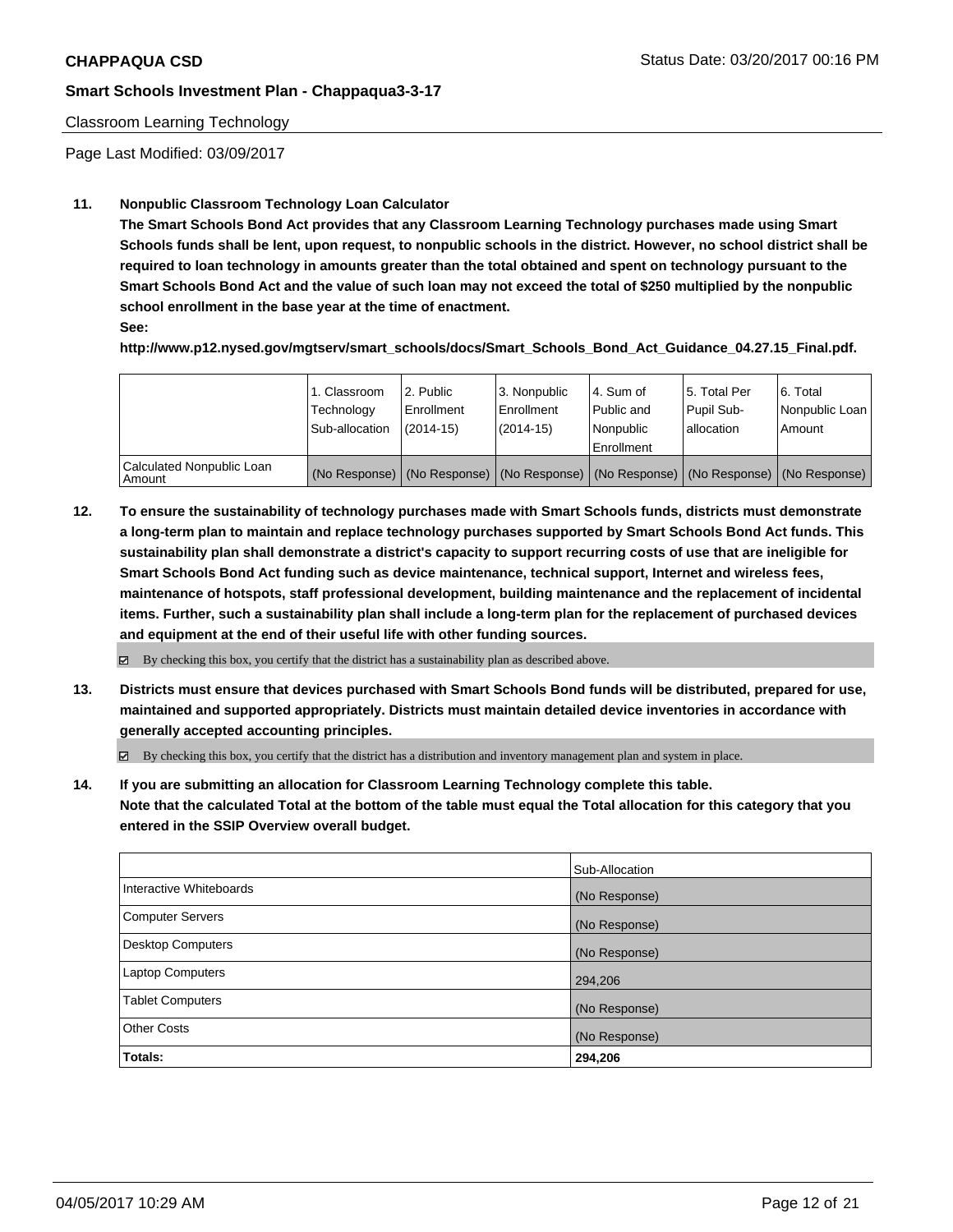### Classroom Learning Technology

Page Last Modified: 03/09/2017

## **11. Nonpublic Classroom Technology Loan Calculator**

**The Smart Schools Bond Act provides that any Classroom Learning Technology purchases made using Smart Schools funds shall be lent, upon request, to nonpublic schools in the district. However, no school district shall be required to loan technology in amounts greater than the total obtained and spent on technology pursuant to the Smart Schools Bond Act and the value of such loan may not exceed the total of \$250 multiplied by the nonpublic school enrollment in the base year at the time of enactment.**

**See:**

**http://www.p12.nysed.gov/mgtserv/smart\_schools/docs/Smart\_Schools\_Bond\_Act\_Guidance\_04.27.15\_Final.pdf.**

|                                         | 1. Classroom<br>Technology<br>Sub-allocation | l 2. Public<br>l Enrollment<br>$(2014 - 15)$ | l 3. Nonpublic<br>Enrollment<br>(2014-15) | 4. Sum of<br>Public and<br>l Nonpublic<br>Enrollment                                          | 15. Total Per<br>Pupil Sub-<br>allocation | 6. Total<br>Nonpublic Loan<br>Amount |
|-----------------------------------------|----------------------------------------------|----------------------------------------------|-------------------------------------------|-----------------------------------------------------------------------------------------------|-------------------------------------------|--------------------------------------|
| Calculated Nonpublic Loan<br>l Amount i |                                              |                                              |                                           | (No Response)   (No Response)   (No Response)   (No Response)   (No Response)   (No Response) |                                           |                                      |

**12. To ensure the sustainability of technology purchases made with Smart Schools funds, districts must demonstrate a long-term plan to maintain and replace technology purchases supported by Smart Schools Bond Act funds. This sustainability plan shall demonstrate a district's capacity to support recurring costs of use that are ineligible for Smart Schools Bond Act funding such as device maintenance, technical support, Internet and wireless fees, maintenance of hotspots, staff professional development, building maintenance and the replacement of incidental items. Further, such a sustainability plan shall include a long-term plan for the replacement of purchased devices and equipment at the end of their useful life with other funding sources.**

 $\boxtimes$  By checking this box, you certify that the district has a sustainability plan as described above.

**13. Districts must ensure that devices purchased with Smart Schools Bond funds will be distributed, prepared for use, maintained and supported appropriately. Districts must maintain detailed device inventories in accordance with generally accepted accounting principles.**

 $\boxtimes$  By checking this box, you certify that the district has a distribution and inventory management plan and system in place.

**14. If you are submitting an allocation for Classroom Learning Technology complete this table. Note that the calculated Total at the bottom of the table must equal the Total allocation for this category that you entered in the SSIP Overview overall budget.**

| <b>Totals:</b>          | 294,206        |
|-------------------------|----------------|
| <b>Other Costs</b>      | (No Response)  |
| <b>Tablet Computers</b> | (No Response)  |
| <b>Laptop Computers</b> | 294,206        |
| Desktop Computers       | (No Response)  |
| Computer Servers        | (No Response)  |
| Interactive Whiteboards | (No Response)  |
|                         | Sub-Allocation |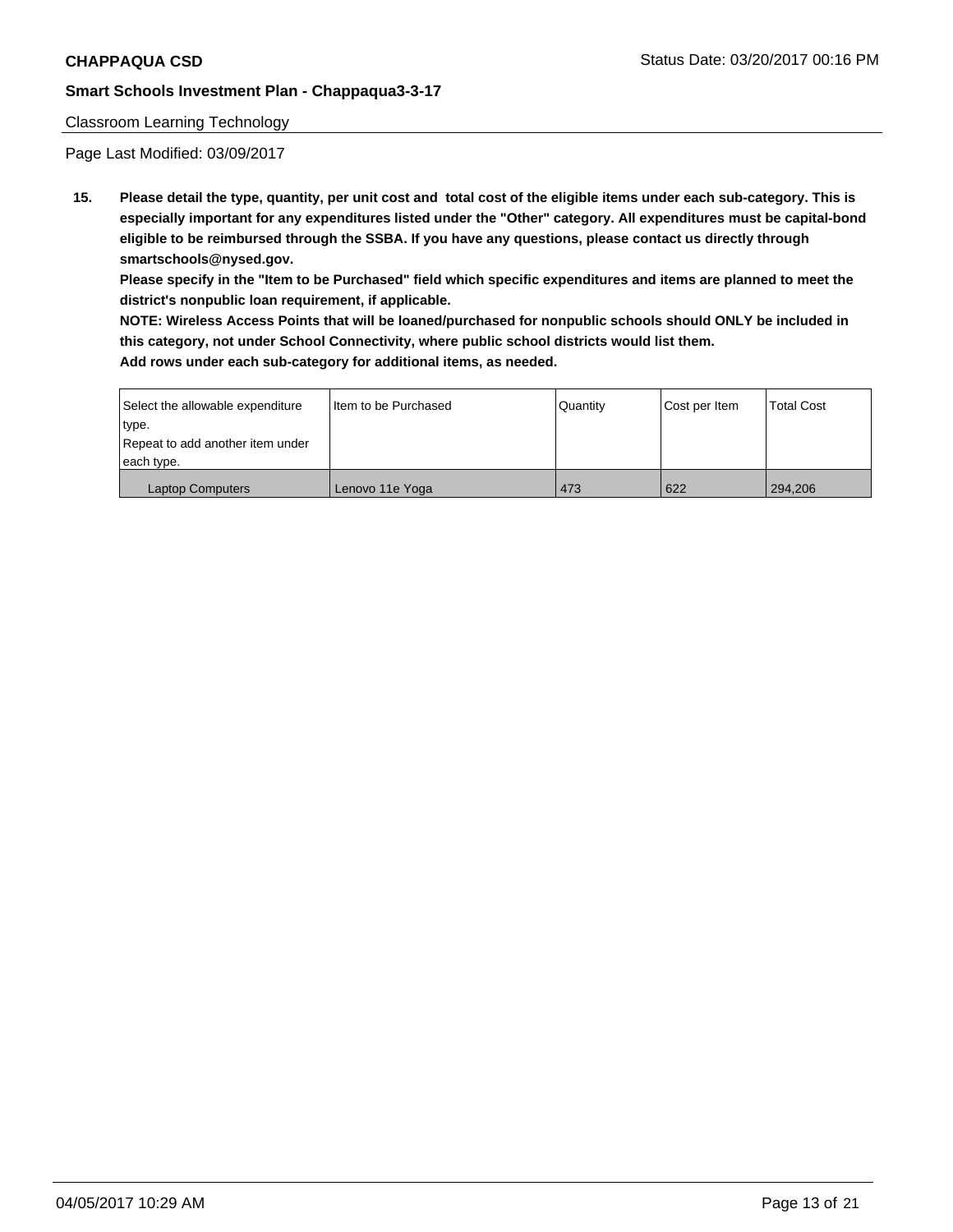#### Classroom Learning Technology

Page Last Modified: 03/09/2017

**15. Please detail the type, quantity, per unit cost and total cost of the eligible items under each sub-category. This is especially important for any expenditures listed under the "Other" category. All expenditures must be capital-bond eligible to be reimbursed through the SSBA. If you have any questions, please contact us directly through smartschools@nysed.gov.**

**Please specify in the "Item to be Purchased" field which specific expenditures and items are planned to meet the district's nonpublic loan requirement, if applicable.**

**NOTE: Wireless Access Points that will be loaned/purchased for nonpublic schools should ONLY be included in this category, not under School Connectivity, where public school districts would list them. Add rows under each sub-category for additional items, as needed.**

| Select the allowable expenditure | I Item to be Purchased | Quantity | Cost per Item | <b>Total Cost</b> |
|----------------------------------|------------------------|----------|---------------|-------------------|
| type.                            |                        |          |               |                   |
| Repeat to add another item under |                        |          |               |                   |
| each type.                       |                        |          |               |                   |
| <b>Laptop Computers</b>          | Lenovo 11e Yoga        | 473      | 622           | 294,206           |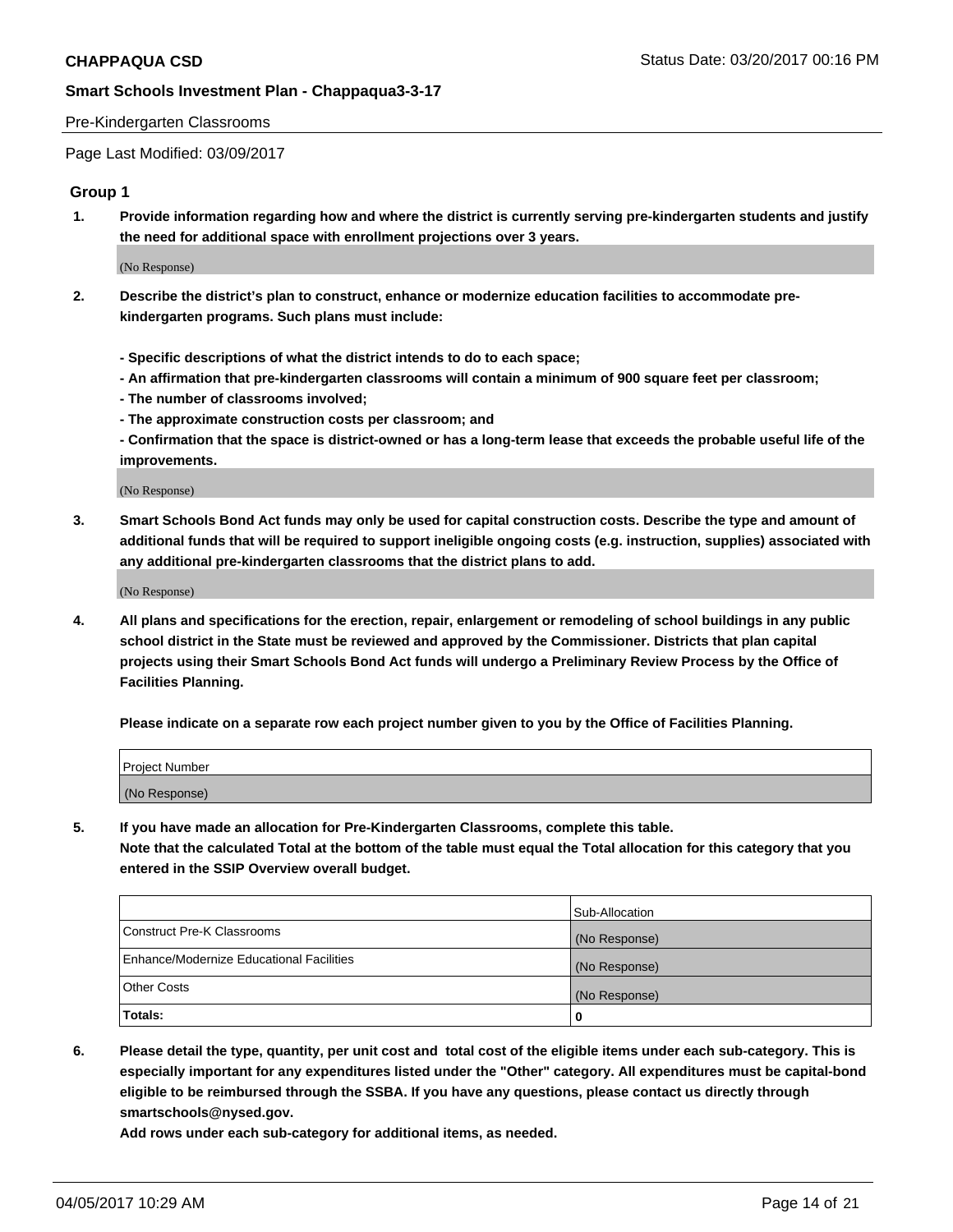#### Pre-Kindergarten Classrooms

Page Last Modified: 03/09/2017

#### **Group 1**

**1. Provide information regarding how and where the district is currently serving pre-kindergarten students and justify the need for additional space with enrollment projections over 3 years.**

(No Response)

- **2. Describe the district's plan to construct, enhance or modernize education facilities to accommodate prekindergarten programs. Such plans must include:**
	- **Specific descriptions of what the district intends to do to each space;**
	- **An affirmation that pre-kindergarten classrooms will contain a minimum of 900 square feet per classroom;**
	- **The number of classrooms involved;**
	- **The approximate construction costs per classroom; and**
	- **Confirmation that the space is district-owned or has a long-term lease that exceeds the probable useful life of the improvements.**

(No Response)

**3. Smart Schools Bond Act funds may only be used for capital construction costs. Describe the type and amount of additional funds that will be required to support ineligible ongoing costs (e.g. instruction, supplies) associated with any additional pre-kindergarten classrooms that the district plans to add.**

(No Response)

**4. All plans and specifications for the erection, repair, enlargement or remodeling of school buildings in any public school district in the State must be reviewed and approved by the Commissioner. Districts that plan capital projects using their Smart Schools Bond Act funds will undergo a Preliminary Review Process by the Office of Facilities Planning.**

**Please indicate on a separate row each project number given to you by the Office of Facilities Planning.**

| <b>Project Number</b> |  |
|-----------------------|--|
| (No Response)         |  |

**5. If you have made an allocation for Pre-Kindergarten Classrooms, complete this table. Note that the calculated Total at the bottom of the table must equal the Total allocation for this category that you entered in the SSIP Overview overall budget.**

| Totals:                                  | 0              |
|------------------------------------------|----------------|
| Other Costs                              | (No Response)  |
| Enhance/Modernize Educational Facilities | (No Response)  |
| Construct Pre-K Classrooms               | (No Response)  |
|                                          | Sub-Allocation |

**6. Please detail the type, quantity, per unit cost and total cost of the eligible items under each sub-category. This is especially important for any expenditures listed under the "Other" category. All expenditures must be capital-bond eligible to be reimbursed through the SSBA. If you have any questions, please contact us directly through smartschools@nysed.gov.**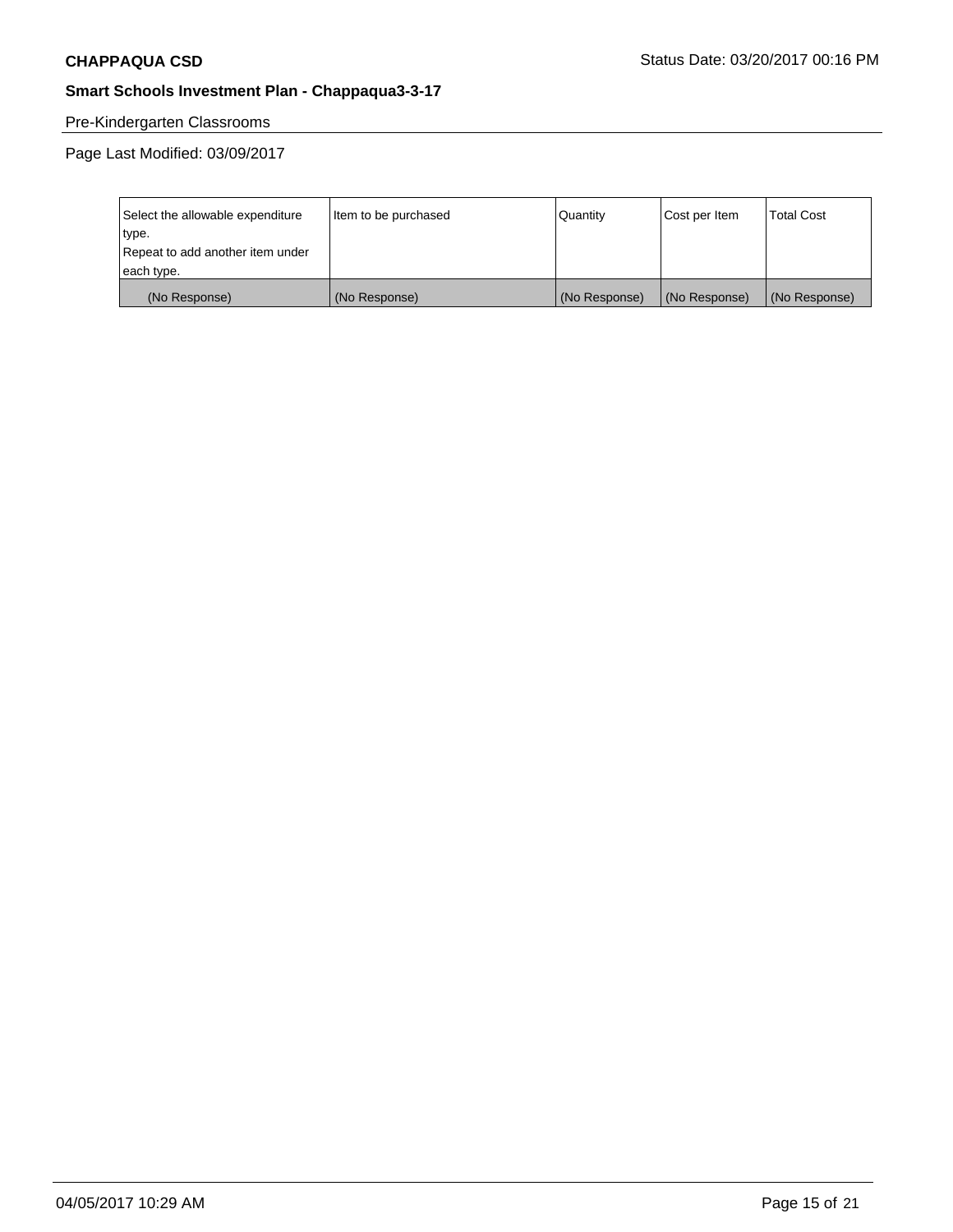# Pre-Kindergarten Classrooms

| Select the allowable expenditure | Item to be purchased | Quantity      | Cost per Item | <b>Total Cost</b> |
|----------------------------------|----------------------|---------------|---------------|-------------------|
| type.                            |                      |               |               |                   |
| Repeat to add another item under |                      |               |               |                   |
| each type.                       |                      |               |               |                   |
| (No Response)                    | (No Response)        | (No Response) | (No Response) | (No Response)     |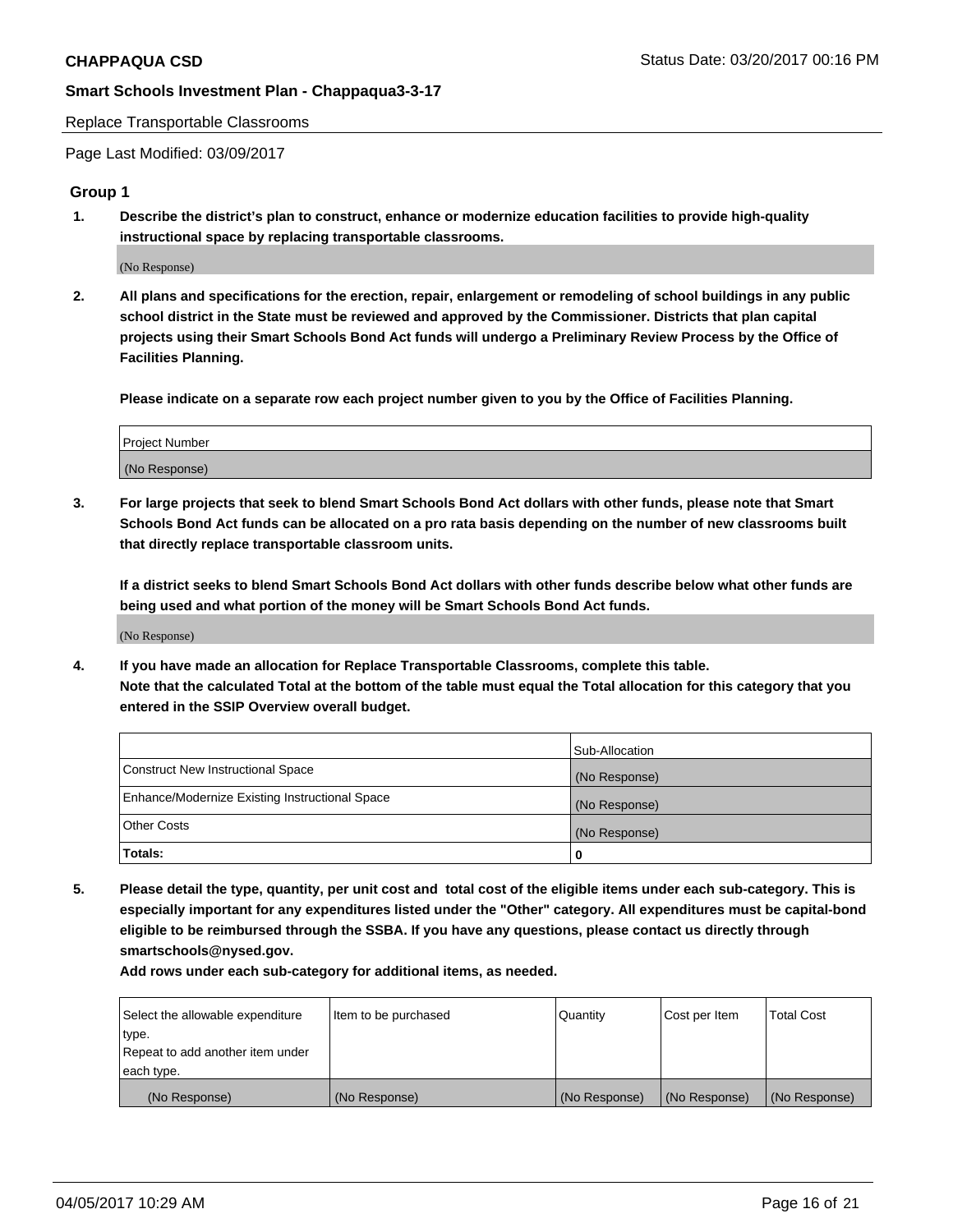Replace Transportable Classrooms

Page Last Modified: 03/09/2017

#### **Group 1**

**1. Describe the district's plan to construct, enhance or modernize education facilities to provide high-quality instructional space by replacing transportable classrooms.**

(No Response)

**2. All plans and specifications for the erection, repair, enlargement or remodeling of school buildings in any public school district in the State must be reviewed and approved by the Commissioner. Districts that plan capital projects using their Smart Schools Bond Act funds will undergo a Preliminary Review Process by the Office of Facilities Planning.**

**Please indicate on a separate row each project number given to you by the Office of Facilities Planning.**

| Project Number |  |
|----------------|--|
| (No Response)  |  |

**3. For large projects that seek to blend Smart Schools Bond Act dollars with other funds, please note that Smart Schools Bond Act funds can be allocated on a pro rata basis depending on the number of new classrooms built that directly replace transportable classroom units.**

**If a district seeks to blend Smart Schools Bond Act dollars with other funds describe below what other funds are being used and what portion of the money will be Smart Schools Bond Act funds.**

(No Response)

**4. If you have made an allocation for Replace Transportable Classrooms, complete this table. Note that the calculated Total at the bottom of the table must equal the Total allocation for this category that you entered in the SSIP Overview overall budget.**

|                                                | Sub-Allocation |
|------------------------------------------------|----------------|
| Construct New Instructional Space              | (No Response)  |
| Enhance/Modernize Existing Instructional Space | (No Response)  |
| Other Costs                                    | (No Response)  |
| Totals:                                        | $\Omega$       |

**5. Please detail the type, quantity, per unit cost and total cost of the eligible items under each sub-category. This is especially important for any expenditures listed under the "Other" category. All expenditures must be capital-bond eligible to be reimbursed through the SSBA. If you have any questions, please contact us directly through smartschools@nysed.gov.**

| Select the allowable expenditure | Item to be purchased | Quantity      | Cost per Item | <b>Total Cost</b> |
|----------------------------------|----------------------|---------------|---------------|-------------------|
| type.                            |                      |               |               |                   |
| Repeat to add another item under |                      |               |               |                   |
| each type.                       |                      |               |               |                   |
| (No Response)                    | (No Response)        | (No Response) | (No Response) | (No Response)     |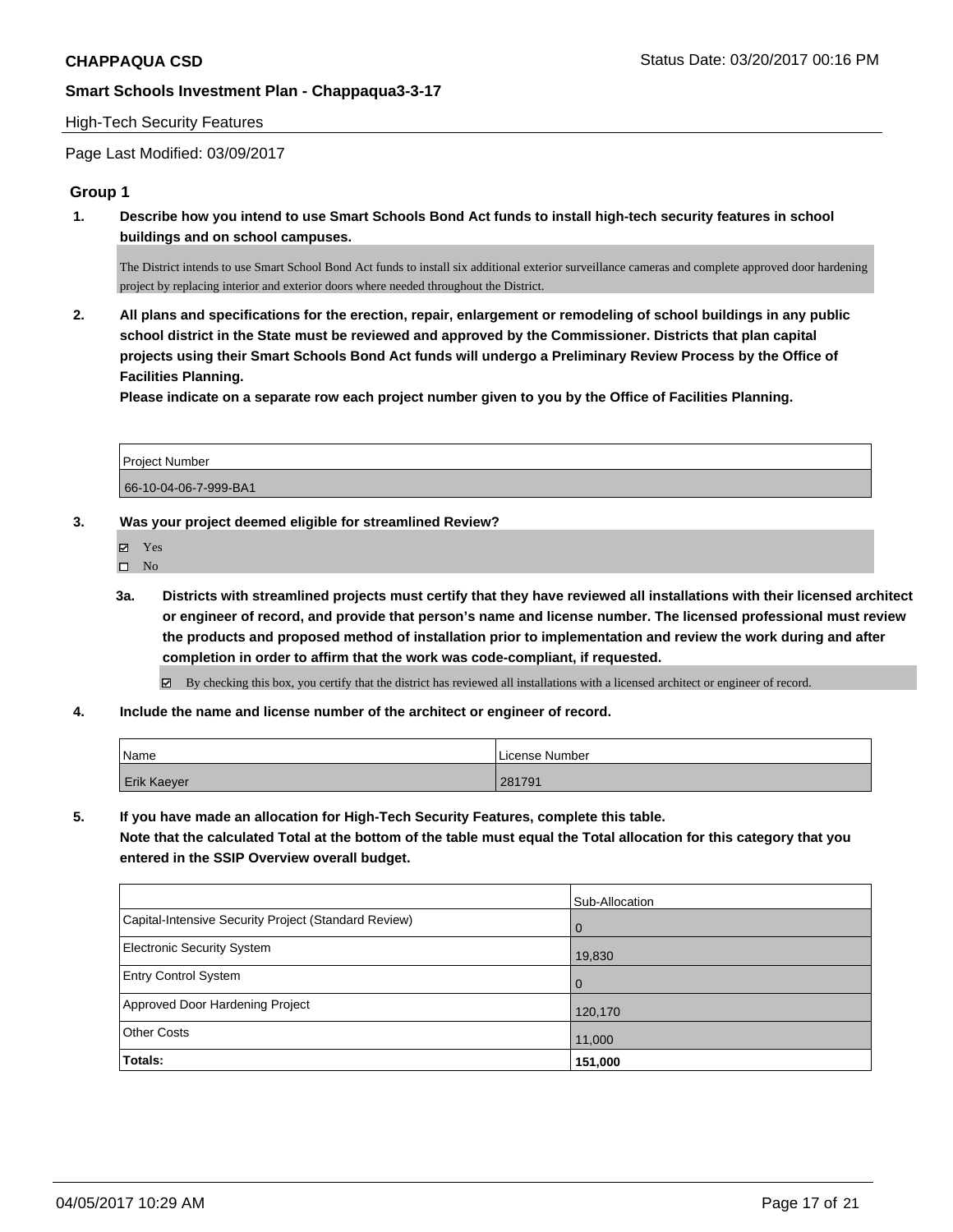#### High-Tech Security Features

Page Last Modified: 03/09/2017

#### **Group 1**

**1. Describe how you intend to use Smart Schools Bond Act funds to install high-tech security features in school buildings and on school campuses.**

The District intends to use Smart School Bond Act funds to install six additional exterior surveillance cameras and complete approved door hardening project by replacing interior and exterior doors where needed throughout the District.

**2. All plans and specifications for the erection, repair, enlargement or remodeling of school buildings in any public school district in the State must be reviewed and approved by the Commissioner. Districts that plan capital projects using their Smart Schools Bond Act funds will undergo a Preliminary Review Process by the Office of Facilities Planning.** 

**Please indicate on a separate row each project number given to you by the Office of Facilities Planning.**

| <b>Project Number</b> |  |
|-----------------------|--|
| 66-10-04-06-7-999-BA1 |  |

#### **3. Was your project deemed eligible for streamlined Review?**

- $\hfill \square$  No
- **3a. Districts with streamlined projects must certify that they have reviewed all installations with their licensed architect or engineer of record, and provide that person's name and license number. The licensed professional must review the products and proposed method of installation prior to implementation and review the work during and after completion in order to affirm that the work was code-compliant, if requested.**

By checking this box, you certify that the district has reviewed all installations with a licensed architect or engineer of record.

**4. Include the name and license number of the architect or engineer of record.**

| 'Name       | License Number |
|-------------|----------------|
| Erik Kaeyer | 281791         |

**5. If you have made an allocation for High-Tech Security Features, complete this table.**

**Note that the calculated Total at the bottom of the table must equal the Total allocation for this category that you entered in the SSIP Overview overall budget.**

|                                                      | Sub-Allocation |
|------------------------------------------------------|----------------|
| Capital-Intensive Security Project (Standard Review) | l 0            |
| <b>Electronic Security System</b>                    | 19,830         |
| <b>Entry Control System</b>                          | l O            |
| Approved Door Hardening Project                      | 120,170        |
| <b>Other Costs</b>                                   | 11,000         |
| Totals:                                              | 151,000        |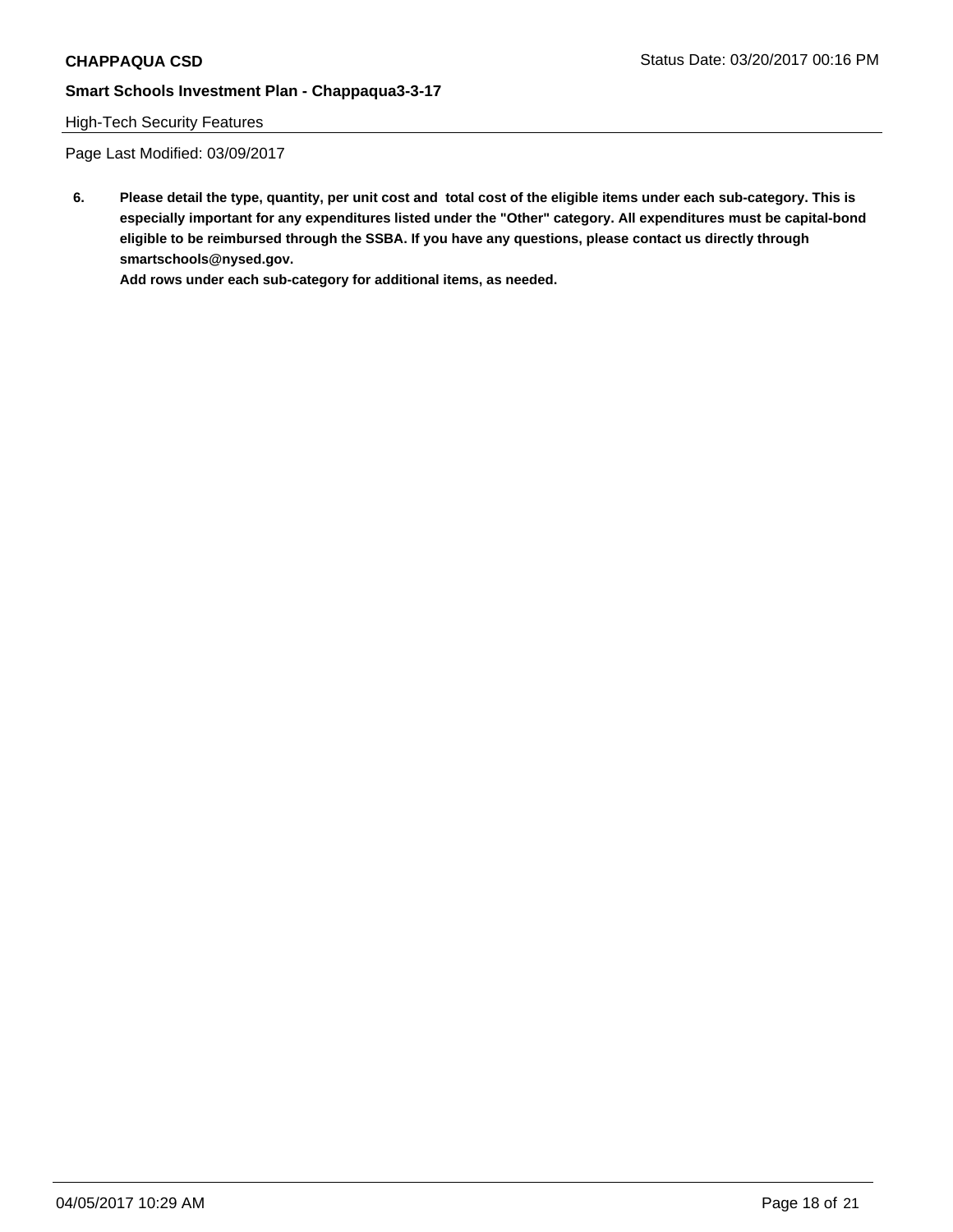# High-Tech Security Features

Page Last Modified: 03/09/2017

**6. Please detail the type, quantity, per unit cost and total cost of the eligible items under each sub-category. This is especially important for any expenditures listed under the "Other" category. All expenditures must be capital-bond eligible to be reimbursed through the SSBA. If you have any questions, please contact us directly through smartschools@nysed.gov.**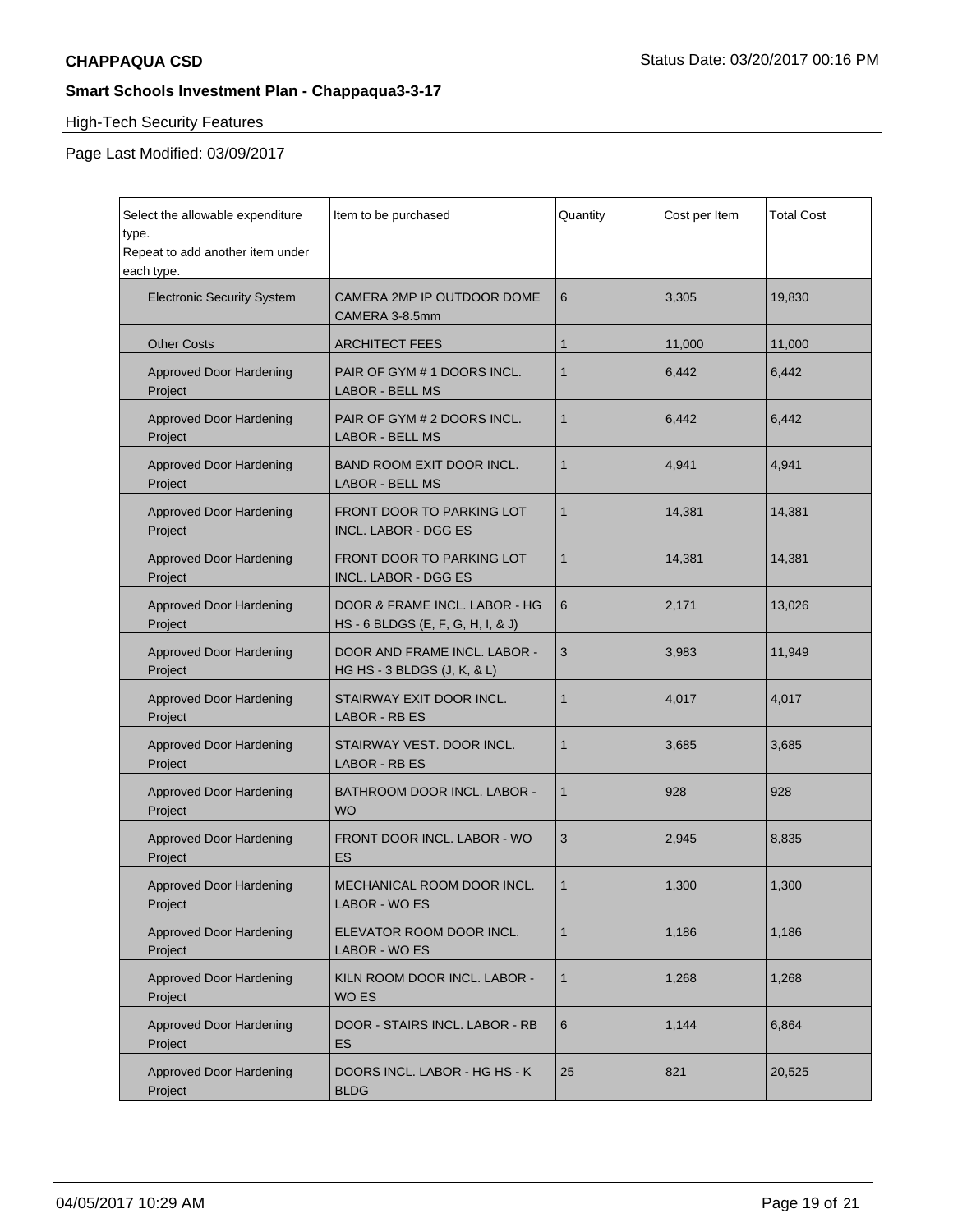# High-Tech Security Features

| Select the allowable expenditure<br>type.<br>Repeat to add another item under<br>each type. | Item to be purchased                                               | Quantity     | Cost per Item | <b>Total Cost</b> |
|---------------------------------------------------------------------------------------------|--------------------------------------------------------------------|--------------|---------------|-------------------|
| <b>Electronic Security System</b>                                                           | CAMERA 2MP IP OUTDOOR DOME<br>CAMERA 3-8.5mm                       | 6            | 3,305         | 19,830            |
| <b>Other Costs</b>                                                                          | <b>ARCHITECT FEES</b>                                              | 1            | 11,000        | 11,000            |
| <b>Approved Door Hardening</b><br>Project                                                   | PAIR OF GYM # 1 DOORS INCL.<br><b>LABOR - BELL MS</b>              | $\mathbf{1}$ | 6,442         | 6,442             |
| <b>Approved Door Hardening</b><br>Project                                                   | PAIR OF GYM # 2 DOORS INCL.<br><b>LABOR - BELL MS</b>              | $\mathbf{1}$ | 6,442         | 6,442             |
| <b>Approved Door Hardening</b><br>Project                                                   | BAND ROOM EXIT DOOR INCL.<br><b>LABOR - BELL MS</b>                | $\mathbf{1}$ | 4,941         | 4,941             |
| <b>Approved Door Hardening</b><br>Project                                                   | FRONT DOOR TO PARKING LOT<br><b>INCL. LABOR - DGG ES</b>           | $\mathbf{1}$ | 14,381        | 14,381            |
| <b>Approved Door Hardening</b><br>Project                                                   | FRONT DOOR TO PARKING LOT<br><b>INCL. LABOR - DGG ES</b>           | $\mathbf{1}$ | 14,381        | 14,381            |
| <b>Approved Door Hardening</b><br>Project                                                   | DOOR & FRAME INCL. LABOR - HG<br>HS - 6 BLDGS (E, F, G, H, I, & J) | 6            | 2,171         | 13,026            |
| <b>Approved Door Hardening</b><br>Project                                                   | DOOR AND FRAME INCL. LABOR -<br>HG HS - 3 BLDGS (J, K, & L)        | 3            | 3,983         | 11,949            |
| <b>Approved Door Hardening</b><br>Project                                                   | STAIRWAY EXIT DOOR INCL.<br><b>LABOR - RB ES</b>                   | 1            | 4,017         | 4,017             |
| <b>Approved Door Hardening</b><br>Project                                                   | STAIRWAY VEST. DOOR INCL.<br><b>LABOR - RB ES</b>                  | $\mathbf 1$  | 3,685         | 3,685             |
| <b>Approved Door Hardening</b><br>Project                                                   | BATHROOM DOOR INCL. LABOR -<br><b>WO</b>                           | $\mathbf{1}$ | 928           | 928               |
| <b>Approved Door Hardening</b><br>Project                                                   | FRONT DOOR INCL. LABOR - WO<br>ES                                  | 3            | 2,945         | 8,835             |
| <b>Approved Door Hardening</b><br>Project                                                   | <b>MECHANICAL ROOM DOOR INCL.</b><br>LABOR - WO ES                 | $\mathbf{1}$ | 1,300         | 1,300             |
| <b>Approved Door Hardening</b><br>Project                                                   | ELEVATOR ROOM DOOR INCL.<br>LABOR - WO ES                          | $\mathbf{1}$ | 1,186         | 1,186             |
| <b>Approved Door Hardening</b><br>Project                                                   | KILN ROOM DOOR INCL. LABOR -<br>WO ES                              | $\mathbf{1}$ | 1,268         | 1,268             |
| <b>Approved Door Hardening</b><br>Project                                                   | DOOR - STAIRS INCL. LABOR - RB<br>ES                               | 6            | 1,144         | 6,864             |
| <b>Approved Door Hardening</b><br>Project                                                   | DOORS INCL. LABOR - HG HS - K<br><b>BLDG</b>                       | 25           | 821           | 20,525            |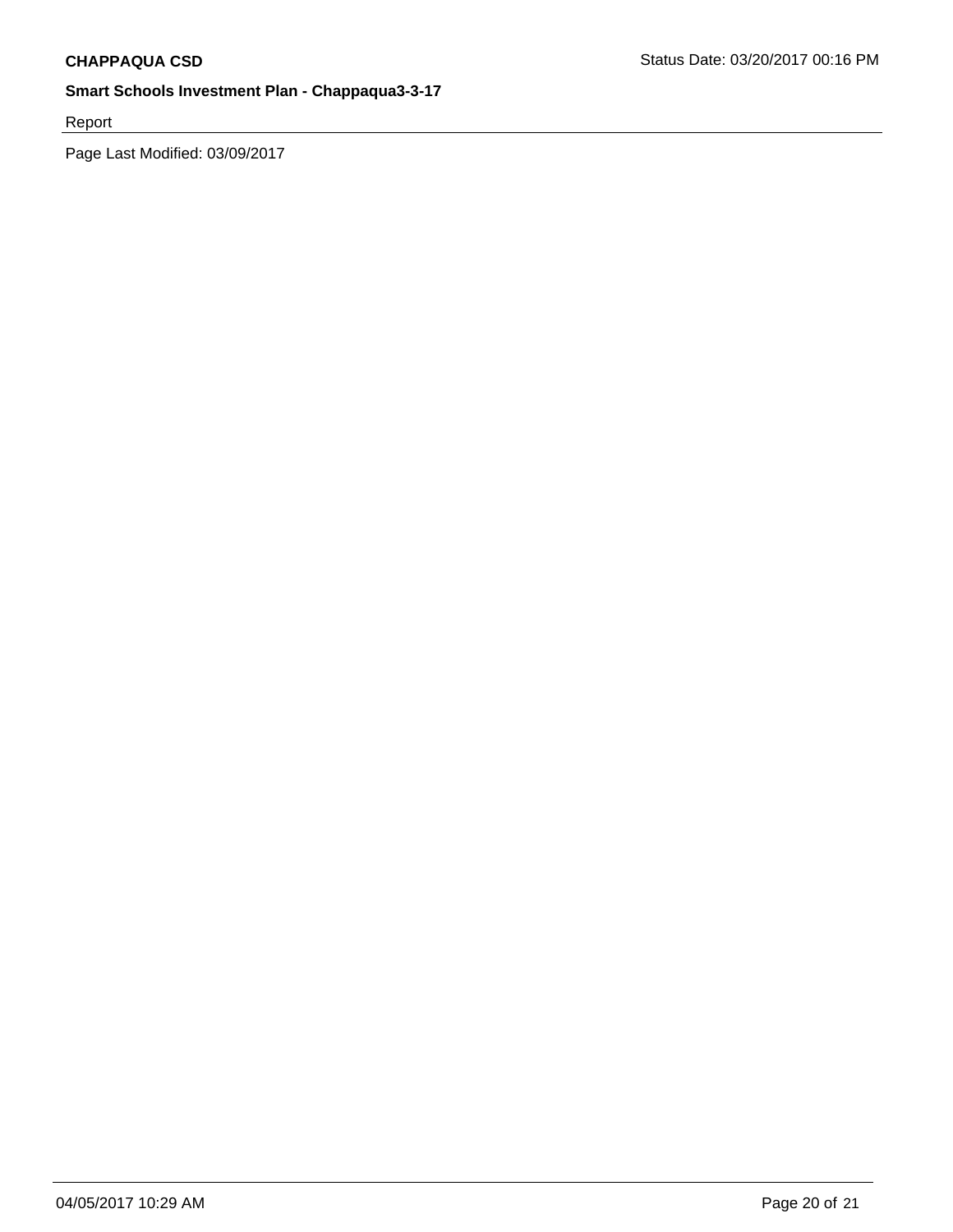Report